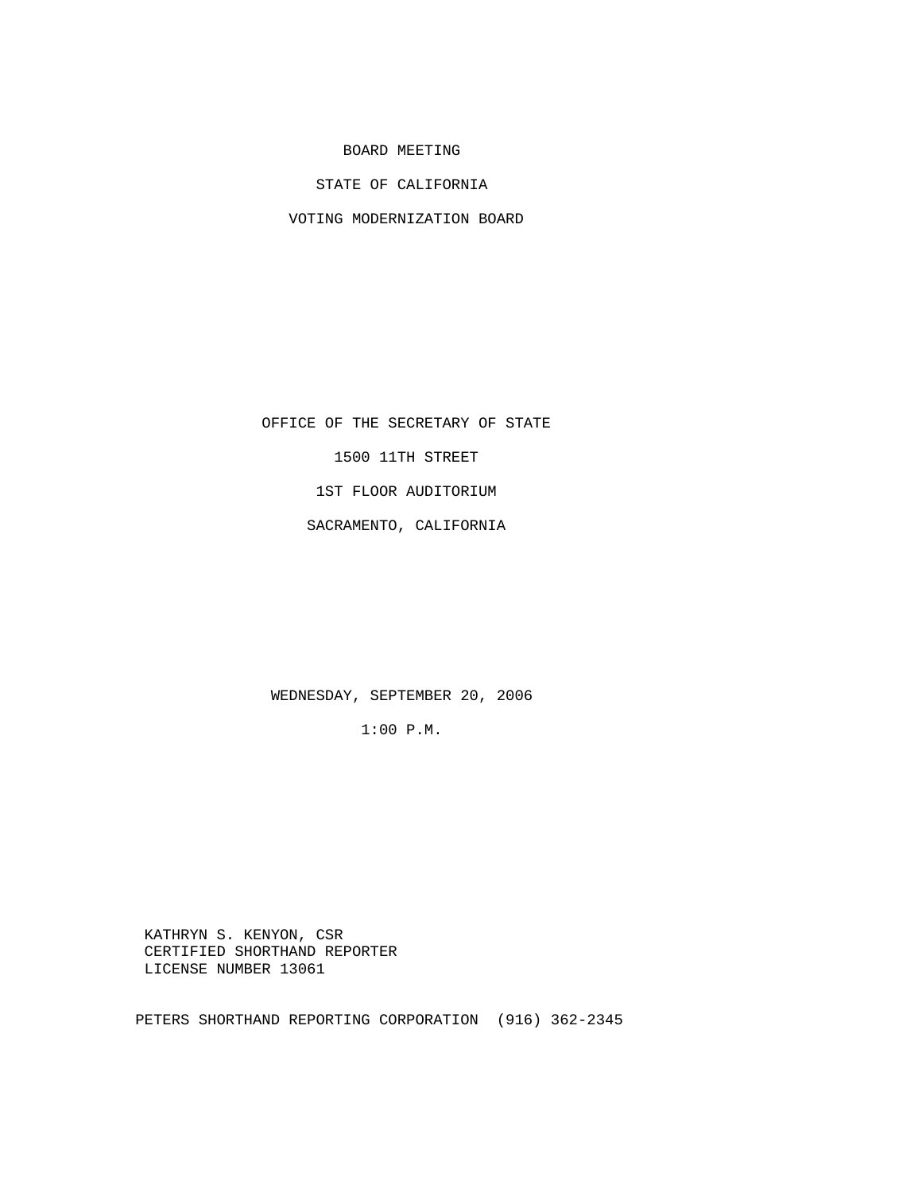BOARD MEETING

STATE OF CALIFORNIA

VOTING MODERNIZATION BOARD

OFFICE OF THE SECRETARY OF STATE

1500 11TH STREET

1ST FLOOR AUDITORIUM

SACRAMENTO, CALIFORNIA

WEDNESDAY, SEPTEMBER 20, 2006

1:00 P.M.

 KATHRYN S. KENYON, CSR CERTIFIED SHORTHAND REPORTER LICENSE NUMBER 13061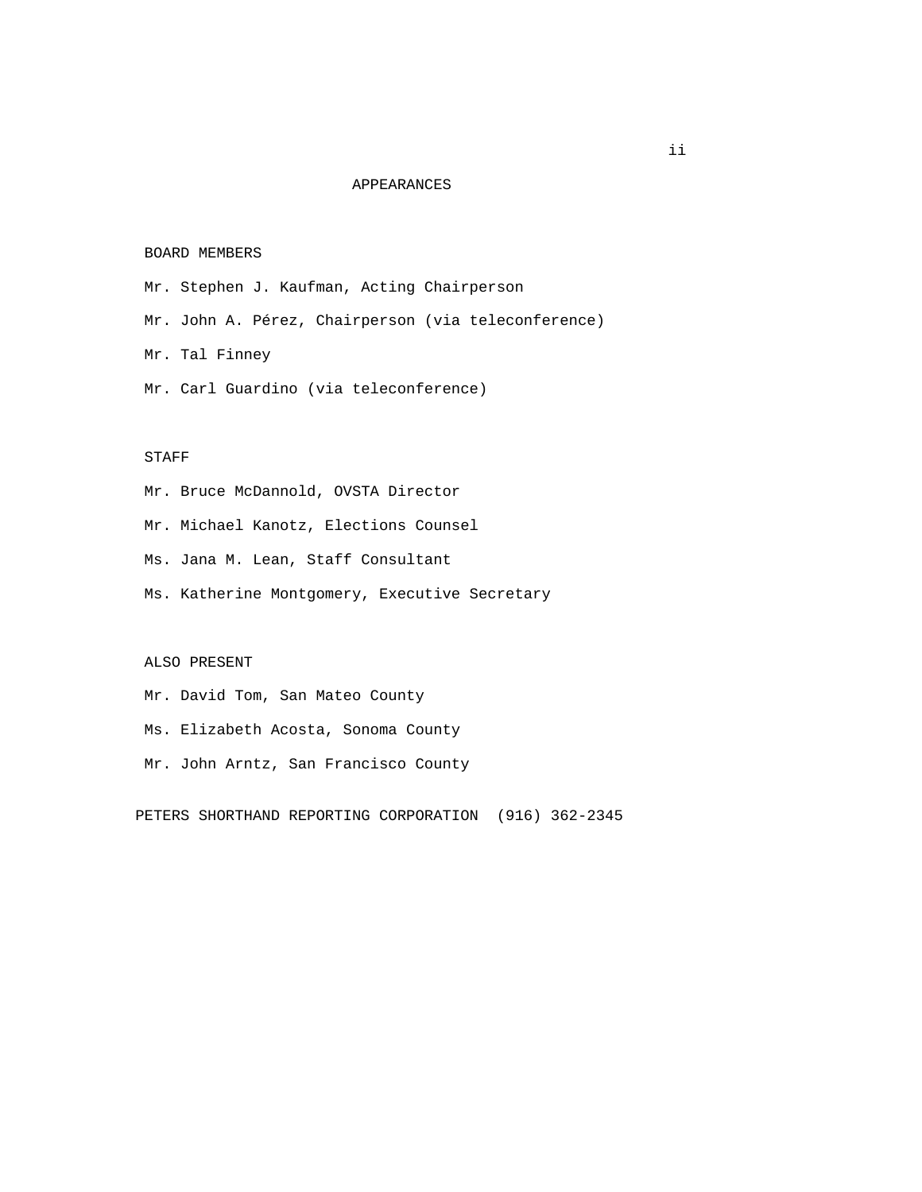### APPEARANCES

### BOARD MEMBERS

- Mr. Stephen J. Kaufman, Acting Chairperson
- Mr. John A. Pérez, Chairperson (via teleconference)
- Mr. Tal Finney
- Mr. Carl Guardino (via teleconference)

## STAFF

- Mr. Bruce McDannold, OVSTA Director
- Mr. Michael Kanotz, Elections Counsel
- Ms. Jana M. Lean, Staff Consultant
- Ms. Katherine Montgomery, Executive Secretary

# ALSO PRESENT

- Mr. David Tom, San Mateo County
- Ms. Elizabeth Acosta, Sonoma County
- Mr. John Arntz, San Francisco County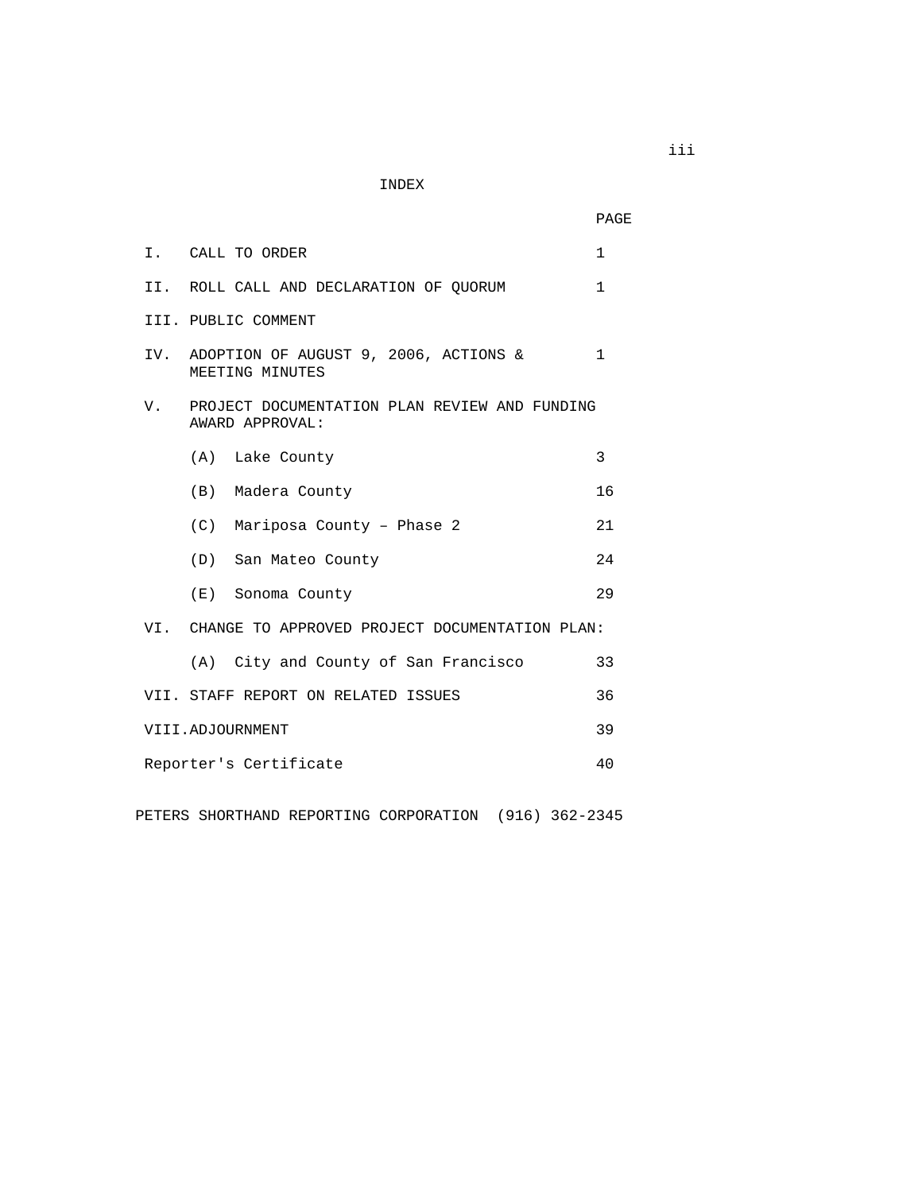INDEX

|    |                                                                  | PAGE         |
|----|------------------------------------------------------------------|--------------|
|    | I. CALL TO ORDER                                                 | $\mathbf{1}$ |
|    | II. ROLL CALL AND DECLARATION OF QUORUM                          | $\mathbf{1}$ |
|    | III. PUBLIC COMMENT                                              |              |
|    | IV. ADOPTION OF AUGUST 9, 2006, ACTIONS &<br>MEETING MINUTES     | $\mathbf{1}$ |
| V. | PROJECT DOCUMENTATION PLAN REVIEW AND FUNDING<br>AWARD APPROVAL: |              |
|    | (A) Lake County                                                  | 3            |
|    | (B) Madera County                                                | 16           |
|    | (C) Mariposa County - Phase 2                                    | 21           |
|    | (D) San Mateo County                                             | 24           |
|    | (E) Sonoma County                                                | 29           |
|    | VI. CHANGE TO APPROVED PROJECT DOCUMENTATION PLAN:               |              |
|    | (A) City and County of San Francisco                             | 33           |
|    | VII. STAFF REPORT ON RELATED ISSUES                              | 36           |
|    | VIII.ADJOURNMENT                                                 | 39           |
|    | Reporter's Certificate                                           | 40           |
|    |                                                                  |              |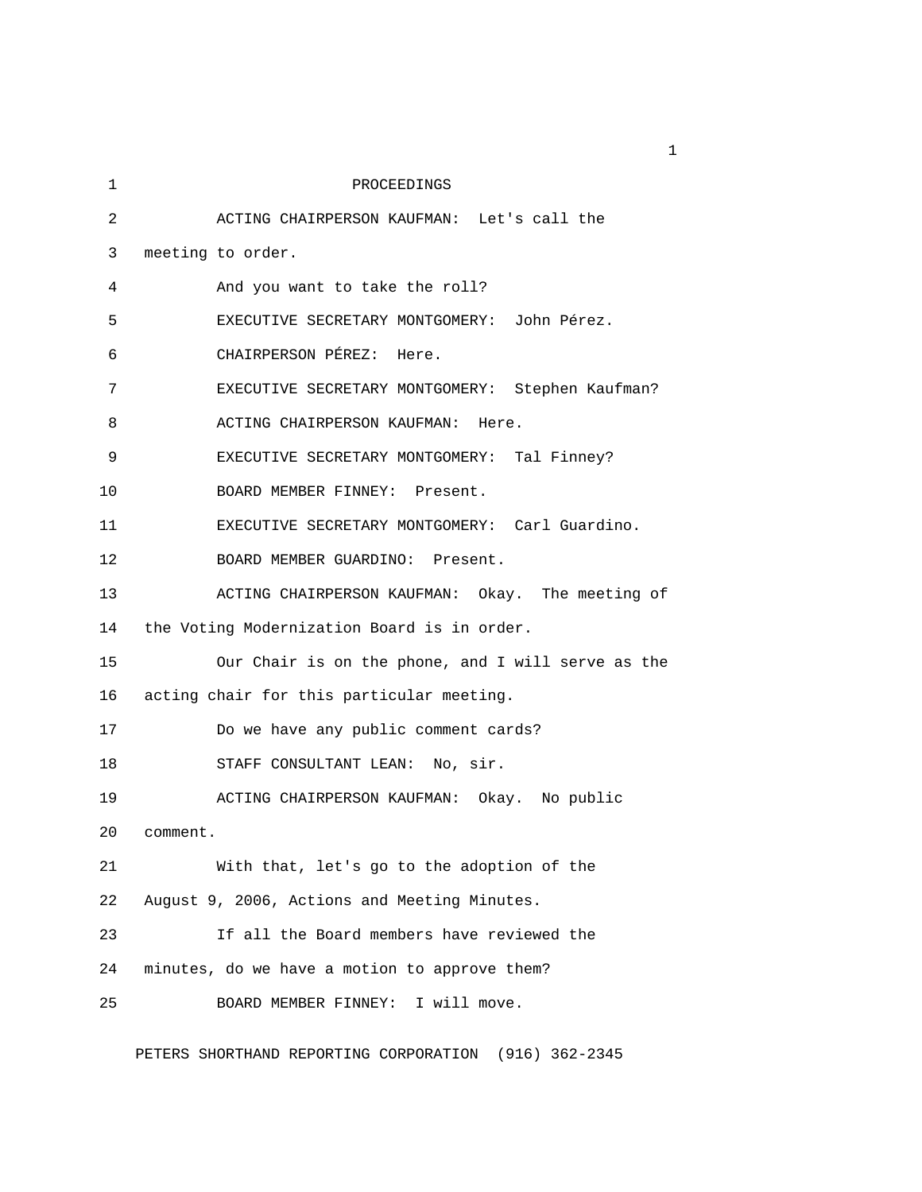| 1  | PROCEEDINGS                                        |
|----|----------------------------------------------------|
| 2  | ACTING CHAIRPERSON KAUFMAN: Let's call the         |
| 3  | meeting to order.                                  |
| 4  | And you want to take the roll?                     |
| 5  | EXECUTIVE SECRETARY MONTGOMERY: John Pérez.        |
| 6  | CHAIRPERSON PÉREZ: Here.                           |
| 7  | EXECUTIVE SECRETARY MONTGOMERY: Stephen Kaufman?   |
| 8  | ACTING CHAIRPERSON KAUFMAN: Here.                  |
| 9  | EXECUTIVE SECRETARY MONTGOMERY: Tal Finney?        |
| 10 | BOARD MEMBER FINNEY: Present.                      |
| 11 | EXECUTIVE SECRETARY MONTGOMERY: Carl Guardino.     |
| 12 | BOARD MEMBER GUARDINO: Present.                    |
| 13 | ACTING CHAIRPERSON KAUFMAN: Okay. The meeting of   |
| 14 | the Voting Modernization Board is in order.        |
| 15 | Our Chair is on the phone, and I will serve as the |
| 16 | acting chair for this particular meeting.          |
| 17 | Do we have any public comment cards?               |
| 18 | STAFF CONSULTANT LEAN: No, sir.                    |
| 19 | ACTING CHAIRPERSON KAUFMAN: Okay. No public        |
| 20 | comment.                                           |
| 21 | With that, let's go to the adoption of the         |
| 22 | August 9, 2006, Actions and Meeting Minutes.       |
| 23 | If all the Board members have reviewed the         |
| 24 | minutes, do we have a motion to approve them?      |
| 25 | I will move.<br>BOARD MEMBER FINNEY:               |

PETERS SHORTHAND REPORTING CORPORATION (916) 362-2345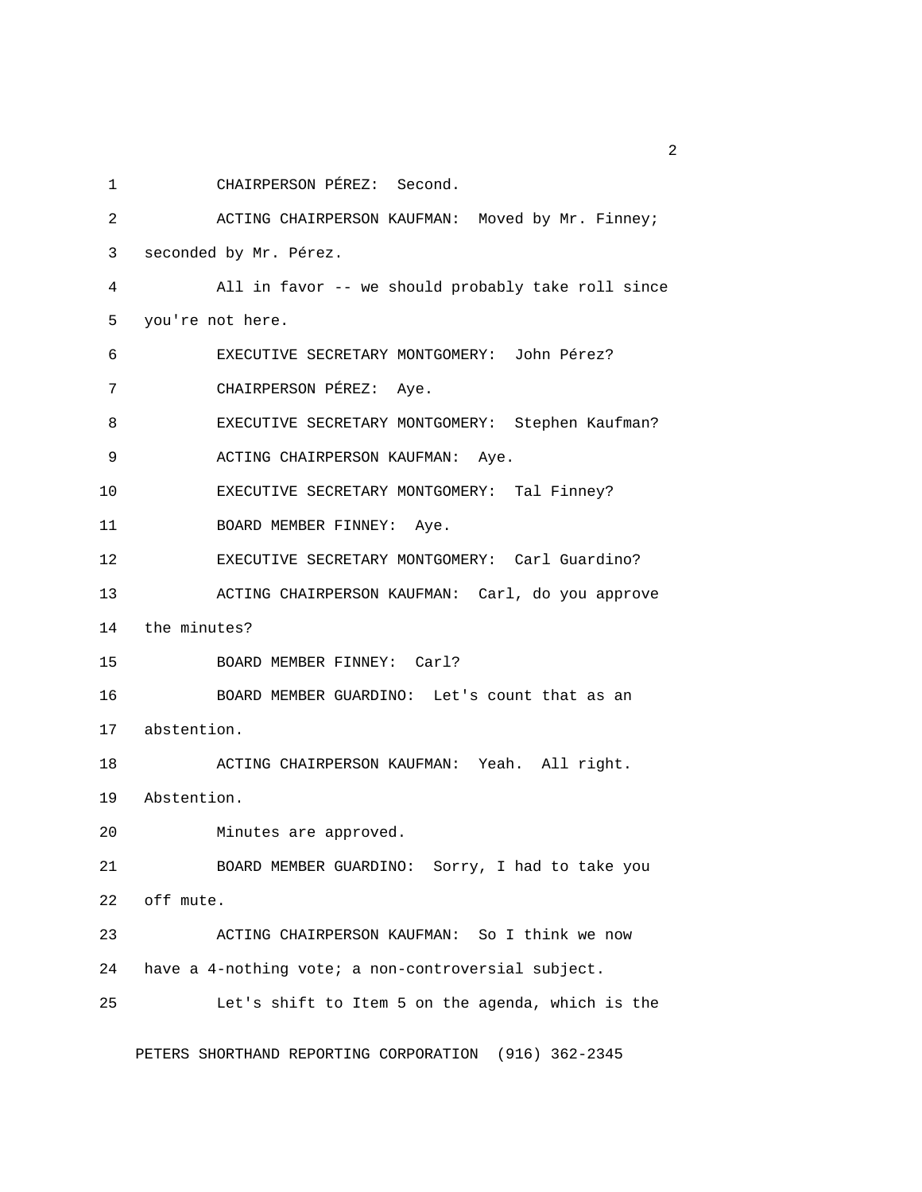1 CHAIRPERSON PÉREZ: Second.

2 ACTING CHAIRPERSON KAUFMAN: Moved by Mr. Finney; 3 seconded by Mr. Pérez. 4 All in favor -- we should probably take roll since 5 you're not here. 6 EXECUTIVE SECRETARY MONTGOMERY: John Pérez? 7 CHAIRPERSON PÉREZ: Aye. 8 EXECUTIVE SECRETARY MONTGOMERY: Stephen Kaufman? 9 ACTING CHAIRPERSON KAUFMAN: Aye. 10 EXECUTIVE SECRETARY MONTGOMERY: Tal Finney? 11 BOARD MEMBER FINNEY: Aye. 12 EXECUTIVE SECRETARY MONTGOMERY: Carl Guardino? 13 ACTING CHAIRPERSON KAUFMAN: Carl, do you approve 14 the minutes? 15 BOARD MEMBER FINNEY: Carl? 16 BOARD MEMBER GUARDINO: Let's count that as an 17 abstention. 18 ACTING CHAIRPERSON KAUFMAN: Yeah. All right. 19 Abstention. 20 Minutes are approved. 21 BOARD MEMBER GUARDINO: Sorry, I had to take you 22 off mute. 23 ACTING CHAIRPERSON KAUFMAN: So I think we now 24 have a 4-nothing vote; a non-controversial subject. 25 Let's shift to Item 5 on the agenda, which is the

PETERS SHORTHAND REPORTING CORPORATION (916) 362-2345

 $\overline{2}$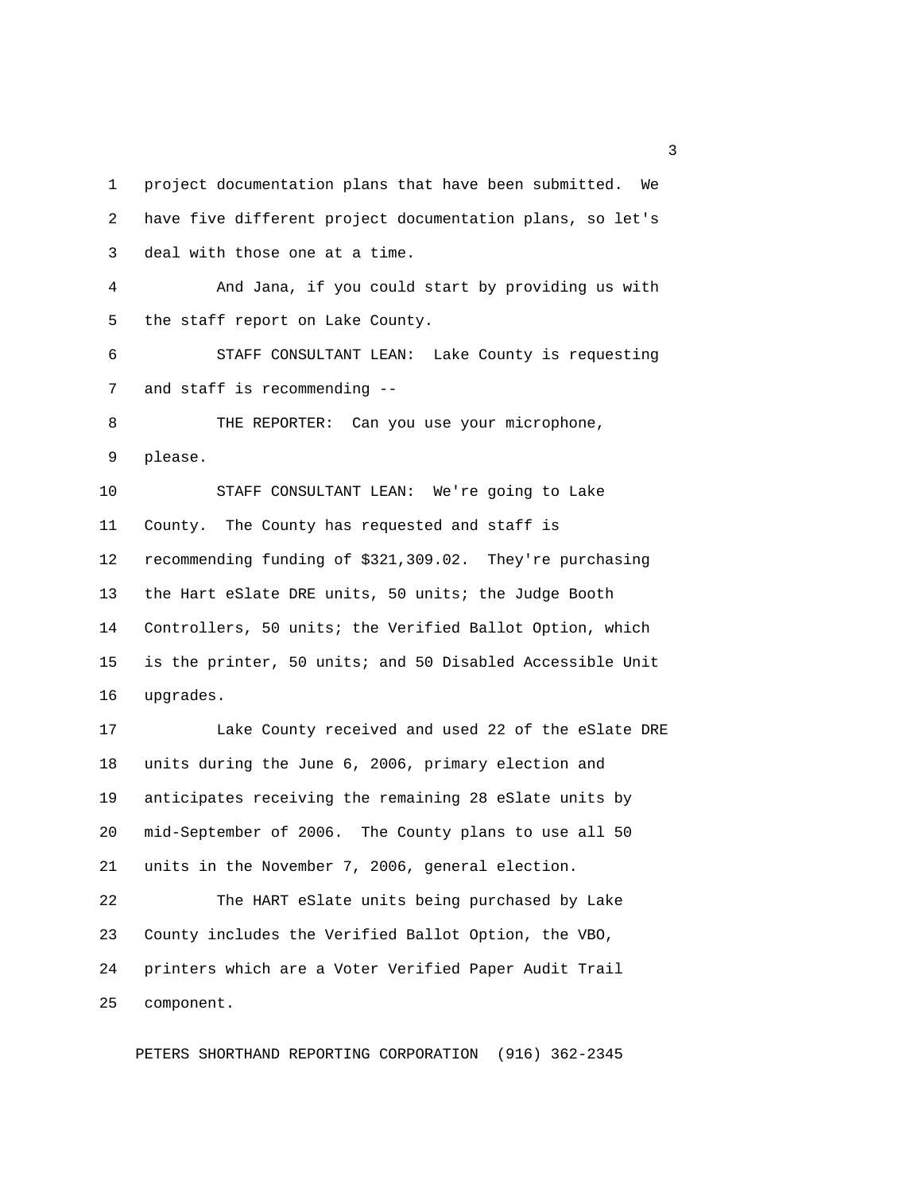1 project documentation plans that have been submitted. We 2 have five different project documentation plans, so let's 3 deal with those one at a time. 4 And Jana, if you could start by providing us with 5 the staff report on Lake County. 6 STAFF CONSULTANT LEAN: Lake County is requesting 7 and staff is recommending -- 8 THE REPORTER: Can you use your microphone, 9 please. 10 STAFF CONSULTANT LEAN: We're going to Lake 11 County. The County has requested and staff is 12 recommending funding of \$321,309.02. They're purchasing 13 the Hart eSlate DRE units, 50 units; the Judge Booth 14 Controllers, 50 units; the Verified Ballot Option, which 15 is the printer, 50 units; and 50 Disabled Accessible Unit 16 upgrades. 17 Lake County received and used 22 of the eSlate DRE 18 units during the June 6, 2006, primary election and 19 anticipates receiving the remaining 28 eSlate units by 20 mid-September of 2006. The County plans to use all 50 21 units in the November 7, 2006, general election. 22 The HART eSlate units being purchased by Lake 23 County includes the Verified Ballot Option, the VBO, 24 printers which are a Voter Verified Paper Audit Trail

25 component.

PETERS SHORTHAND REPORTING CORPORATION (916) 362-2345

 $\sim$  3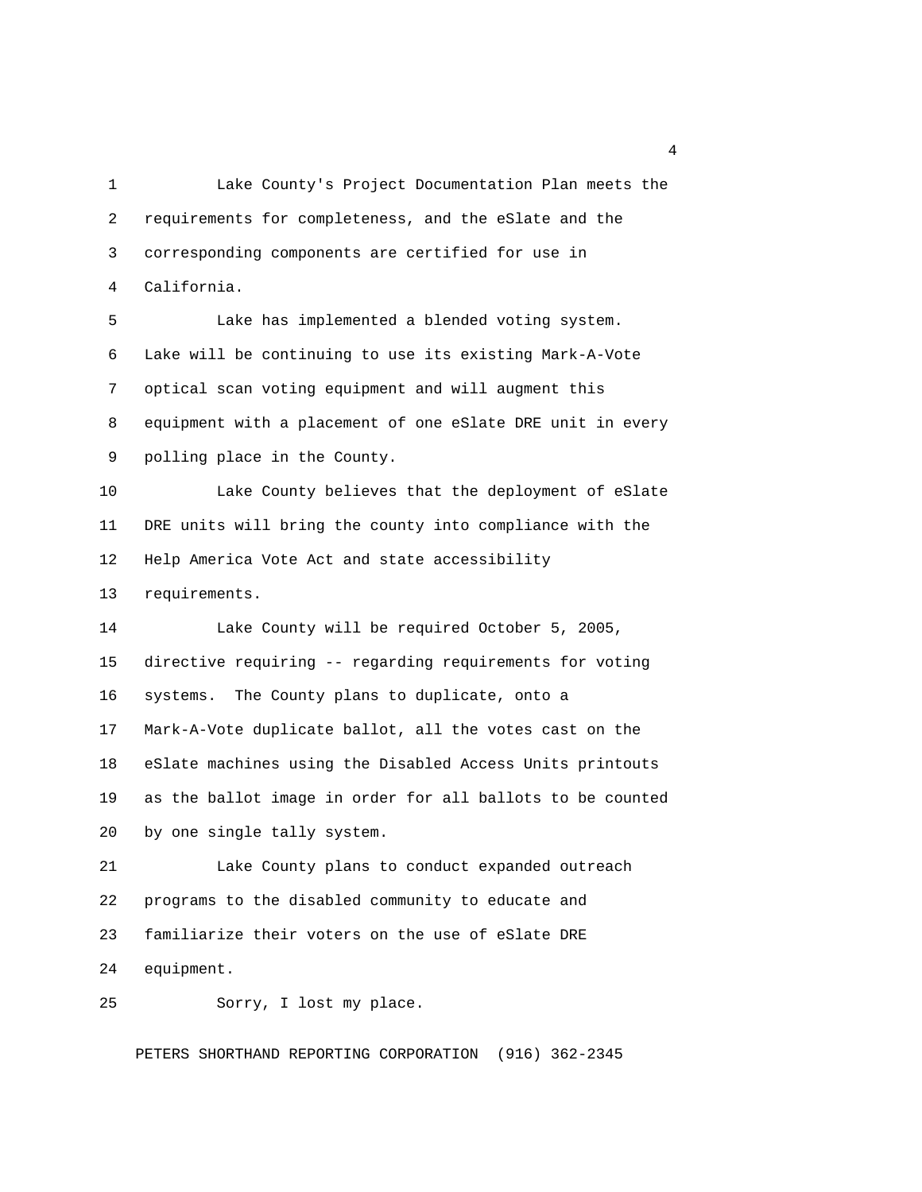1 Lake County's Project Documentation Plan meets the 2 requirements for completeness, and the eSlate and the 3 corresponding components are certified for use in 4 California. 5 Lake has implemented a blended voting system. 6 Lake will be continuing to use its existing Mark-A-Vote 7 optical scan voting equipment and will augment this 8 equipment with a placement of one eSlate DRE unit in every 9 polling place in the County. 10 Lake County believes that the deployment of eSlate 11 DRE units will bring the county into compliance with the 12 Help America Vote Act and state accessibility 13 requirements. 14 Lake County will be required October 5, 2005, 15 directive requiring -- regarding requirements for voting 16 systems. The County plans to duplicate, onto a 17 Mark-A-Vote duplicate ballot, all the votes cast on the 18 eSlate machines using the Disabled Access Units printouts 19 as the ballot image in order for all ballots to be counted 20 by one single tally system. 21 Lake County plans to conduct expanded outreach 22 programs to the disabled community to educate and 23 familiarize their voters on the use of eSlate DRE 24 equipment. 25 Sorry, I lost my place.

PETERS SHORTHAND REPORTING CORPORATION (916) 362-2345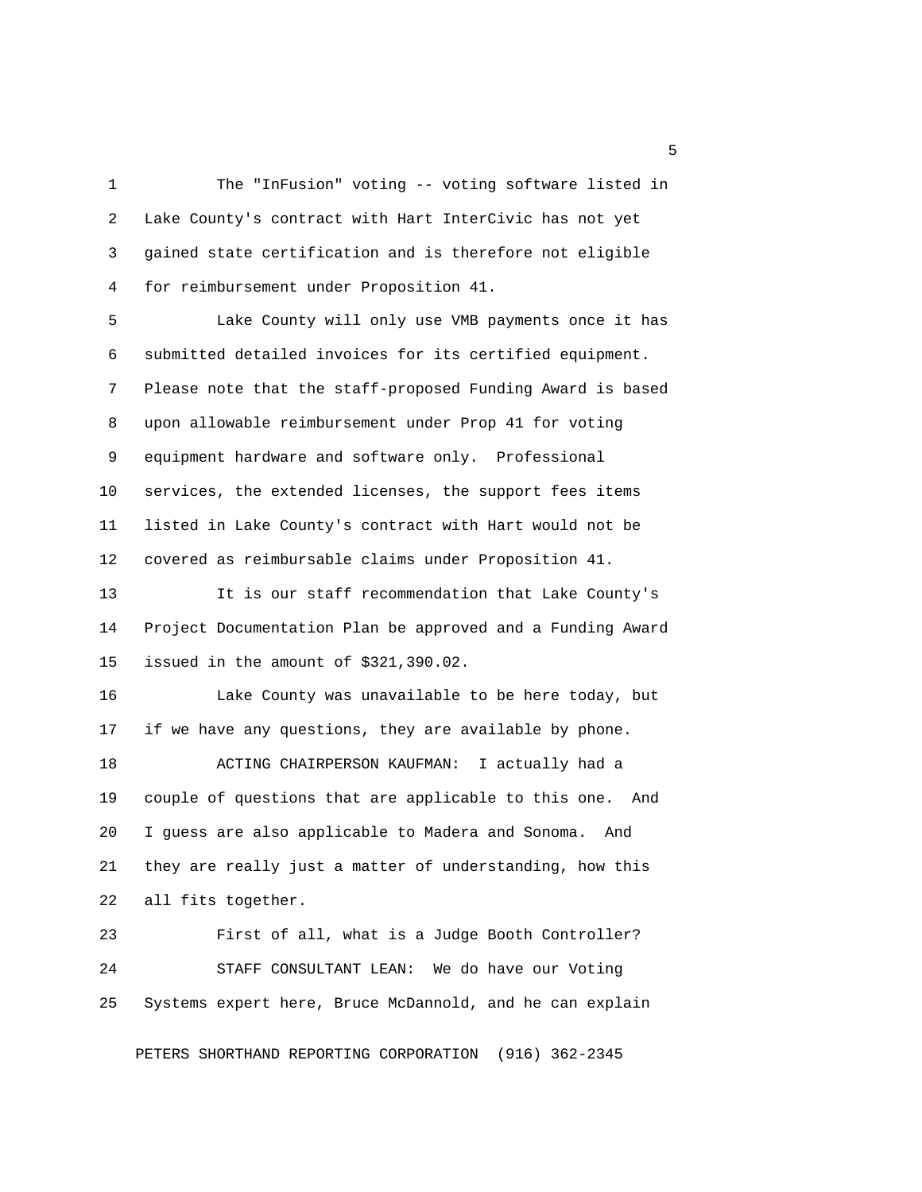1 The "InFusion" voting -- voting software listed in 2 Lake County's contract with Hart InterCivic has not yet 3 gained state certification and is therefore not eligible 4 for reimbursement under Proposition 41.

 5 Lake County will only use VMB payments once it has 6 submitted detailed invoices for its certified equipment. 7 Please note that the staff-proposed Funding Award is based 8 upon allowable reimbursement under Prop 41 for voting 9 equipment hardware and software only. Professional 10 services, the extended licenses, the support fees items 11 listed in Lake County's contract with Hart would not be 12 covered as reimbursable claims under Proposition 41.

13 It is our staff recommendation that Lake County's 14 Project Documentation Plan be approved and a Funding Award 15 issued in the amount of \$321,390.02.

16 Lake County was unavailable to be here today, but 17 if we have any questions, they are available by phone.

18 ACTING CHAIRPERSON KAUFMAN: I actually had a 19 couple of questions that are applicable to this one. And 20 I guess are also applicable to Madera and Sonoma. And 21 they are really just a matter of understanding, how this 22 all fits together.

23 First of all, what is a Judge Booth Controller? 24 STAFF CONSULTANT LEAN: We do have our Voting 25 Systems expert here, Bruce McDannold, and he can explain

PETERS SHORTHAND REPORTING CORPORATION (916) 362-2345

<u>5</u>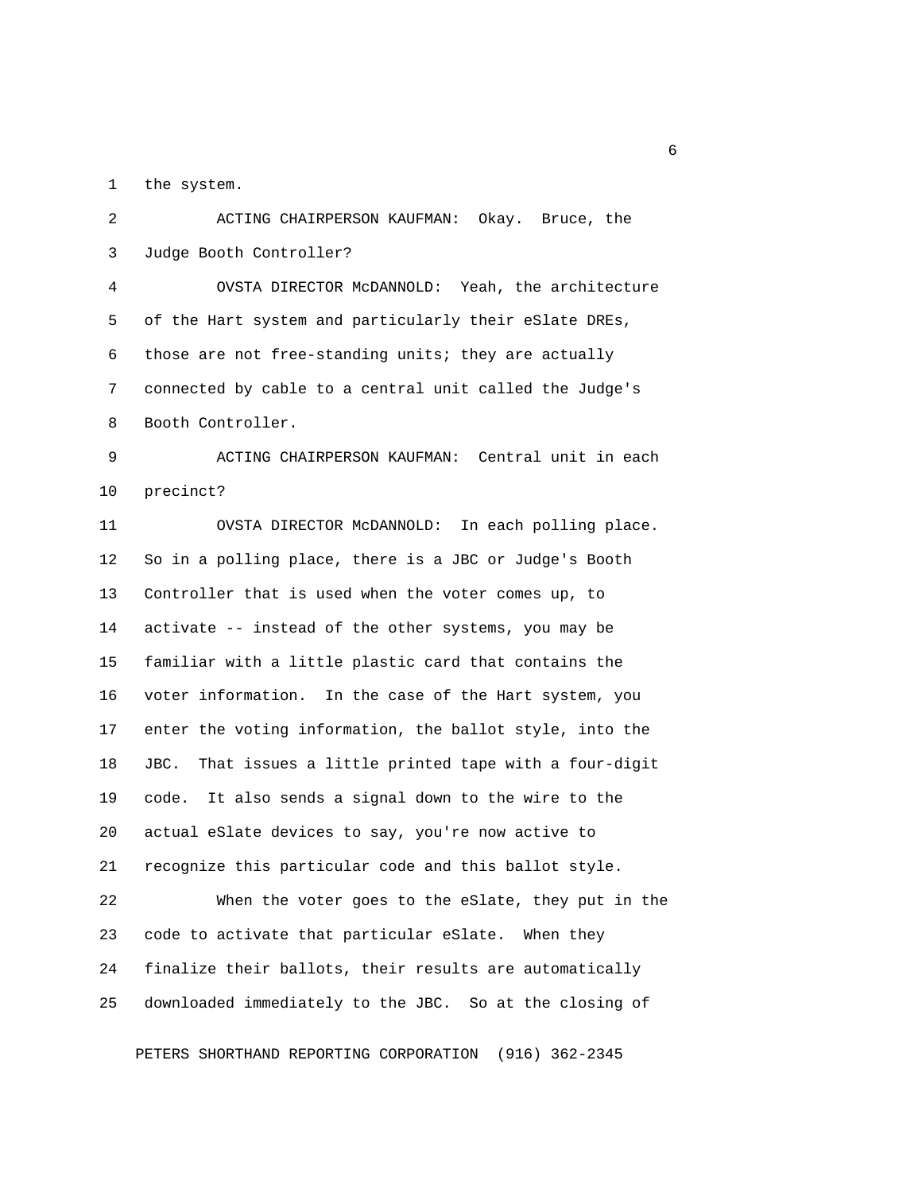1 the system.

 2 ACTING CHAIRPERSON KAUFMAN: Okay. Bruce, the 3 Judge Booth Controller? 4 OVSTA DIRECTOR McDANNOLD: Yeah, the architecture 5 of the Hart system and particularly their eSlate DREs, 6 those are not free-standing units; they are actually 7 connected by cable to a central unit called the Judge's 8 Booth Controller. 9 ACTING CHAIRPERSON KAUFMAN: Central unit in each 10 precinct? 11 OVSTA DIRECTOR McDANNOLD: In each polling place. 12 So in a polling place, there is a JBC or Judge's Booth 13 Controller that is used when the voter comes up, to 14 activate -- instead of the other systems, you may be 15 familiar with a little plastic card that contains the 16 voter information. In the case of the Hart system, you 17 enter the voting information, the ballot style, into the 18 JBC. That issues a little printed tape with a four-digit 19 code. It also sends a signal down to the wire to the 20 actual eSlate devices to say, you're now active to 21 recognize this particular code and this ballot style. 22 When the voter goes to the eSlate, they put in the 23 code to activate that particular eSlate. When they 24 finalize their ballots, their results are automatically 25 downloaded immediately to the JBC. So at the closing of

PETERS SHORTHAND REPORTING CORPORATION (916) 362-2345

 $\sim$  6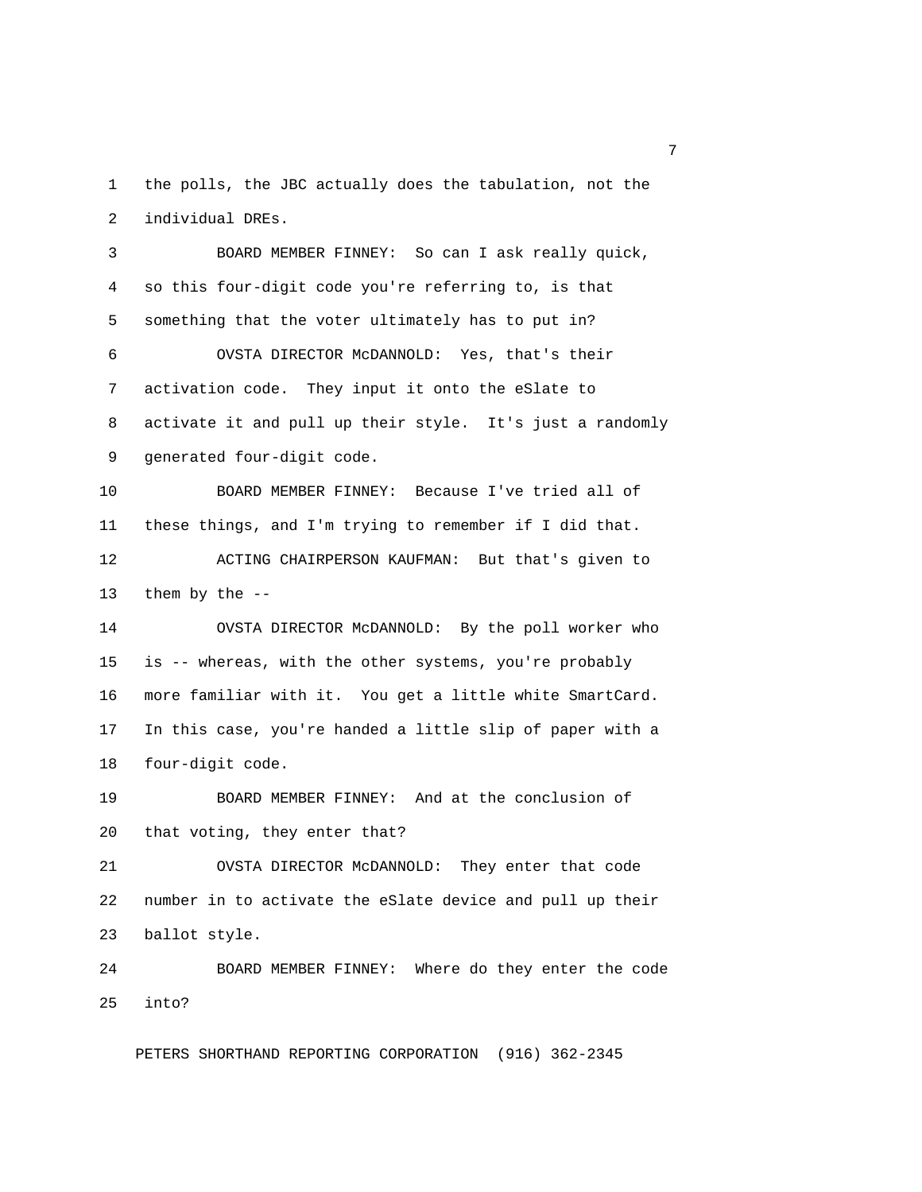1 the polls, the JBC actually does the tabulation, not the 2 individual DREs.

 3 BOARD MEMBER FINNEY: So can I ask really quick, 4 so this four-digit code you're referring to, is that 5 something that the voter ultimately has to put in? 6 OVSTA DIRECTOR McDANNOLD: Yes, that's their 7 activation code. They input it onto the eSlate to 8 activate it and pull up their style. It's just a randomly 9 generated four-digit code. 10 BOARD MEMBER FINNEY: Because I've tried all of 11 these things, and I'm trying to remember if I did that. 12 ACTING CHAIRPERSON KAUFMAN: But that's given to 13 them by the -- 14 OVSTA DIRECTOR McDANNOLD: By the poll worker who 15 is -- whereas, with the other systems, you're probably 16 more familiar with it. You get a little white SmartCard. 17 In this case, you're handed a little slip of paper with a 18 four-digit code. 19 BOARD MEMBER FINNEY: And at the conclusion of 20 that voting, they enter that? 21 OVSTA DIRECTOR McDANNOLD: They enter that code 22 number in to activate the eSlate device and pull up their 23 ballot style. 24 BOARD MEMBER FINNEY: Where do they enter the code 25 into?

PETERS SHORTHAND REPORTING CORPORATION (916) 362-2345

<u>2</u> The contract of the contract of the contract of the contract of the contract of the contract of the contract of the contract of the contract of the contract of the contract of the contract of the contract of the contra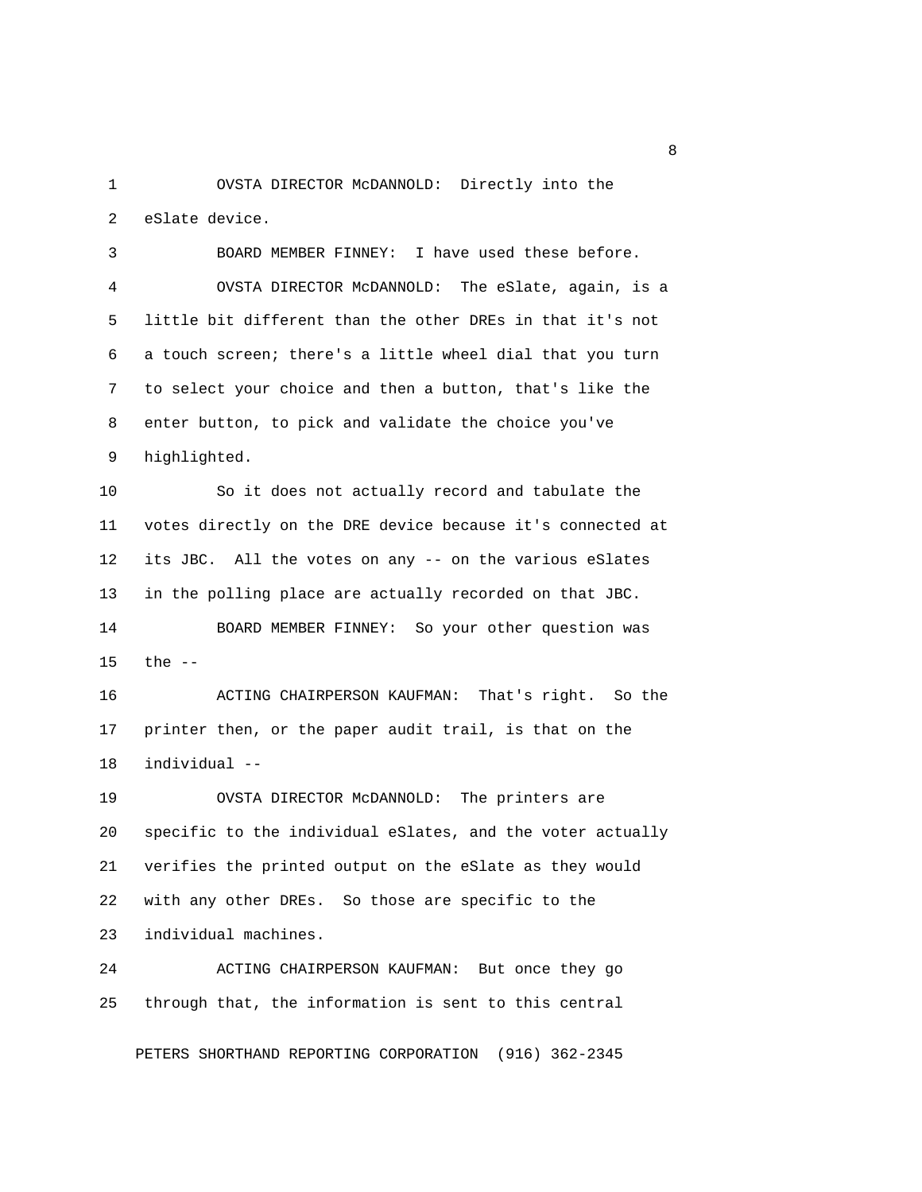1 OVSTA DIRECTOR McDANNOLD: Directly into the 2 eSlate device.

 3 BOARD MEMBER FINNEY: I have used these before. 4 OVSTA DIRECTOR McDANNOLD: The eSlate, again, is a 5 little bit different than the other DREs in that it's not 6 a touch screen; there's a little wheel dial that you turn 7 to select your choice and then a button, that's like the 8 enter button, to pick and validate the choice you've 9 highlighted. 10 So it does not actually record and tabulate the 11 votes directly on the DRE device because it's connected at 12 its JBC. All the votes on any -- on the various eSlates 13 in the polling place are actually recorded on that JBC. 14 BOARD MEMBER FINNEY: So your other question was 15 the --

16 ACTING CHAIRPERSON KAUFMAN: That's right. So the 17 printer then, or the paper audit trail, is that on the 18 individual --

19 OVSTA DIRECTOR McDANNOLD: The printers are 20 specific to the individual eSlates, and the voter actually 21 verifies the printed output on the eSlate as they would 22 with any other DREs. So those are specific to the 23 individual machines.

24 ACTING CHAIRPERSON KAUFMAN: But once they go 25 through that, the information is sent to this central

PETERS SHORTHAND REPORTING CORPORATION (916) 362-2345

experience of the state of the state of the state of the state of the state of the state of the state of the s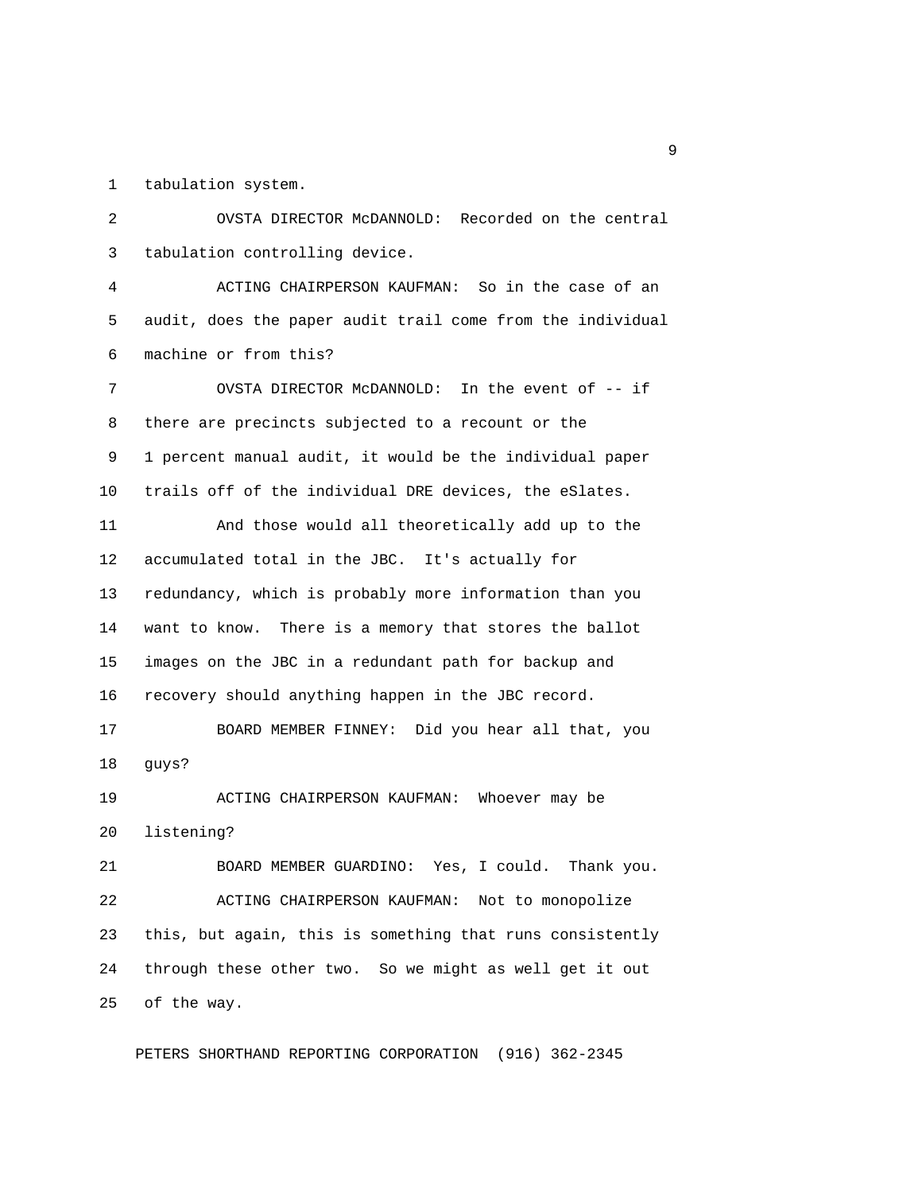1 tabulation system.

 2 OVSTA DIRECTOR McDANNOLD: Recorded on the central 3 tabulation controlling device.

 4 ACTING CHAIRPERSON KAUFMAN: So in the case of an 5 audit, does the paper audit trail come from the individual 6 machine or from this?

7 OVSTA DIRECTOR McDANNOLD: In the event of -- if 8 there are precincts subjected to a recount or the 9 1 percent manual audit, it would be the individual paper 10 trails off of the individual DRE devices, the eSlates.

11 And those would all theoretically add up to the 12 accumulated total in the JBC. It's actually for 13 redundancy, which is probably more information than you 14 want to know. There is a memory that stores the ballot 15 images on the JBC in a redundant path for backup and 16 recovery should anything happen in the JBC record.

17 BOARD MEMBER FINNEY: Did you hear all that, you 18 guys?

19 ACTING CHAIRPERSON KAUFMAN: Whoever may be 20 listening?

21 BOARD MEMBER GUARDINO: Yes, I could. Thank you. 22 ACTING CHAIRPERSON KAUFMAN: Not to monopolize 23 this, but again, this is something that runs consistently 24 through these other two. So we might as well get it out 25 of the way.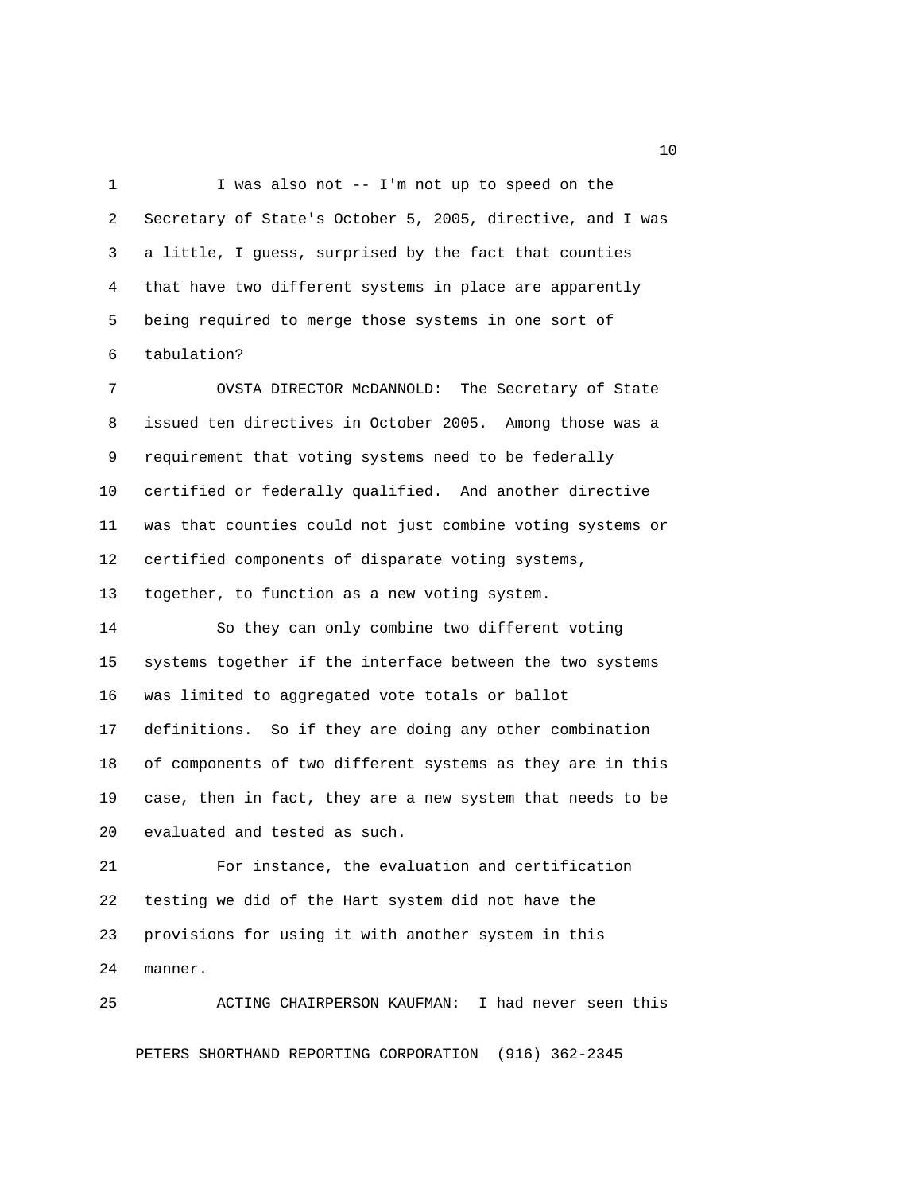1 I was also not -- I'm not up to speed on the 2 Secretary of State's October 5, 2005, directive, and I was 3 a little, I guess, surprised by the fact that counties 4 that have two different systems in place are apparently 5 being required to merge those systems in one sort of 6 tabulation?

 7 OVSTA DIRECTOR McDANNOLD: The Secretary of State 8 issued ten directives in October 2005. Among those was a 9 requirement that voting systems need to be federally 10 certified or federally qualified. And another directive 11 was that counties could not just combine voting systems or 12 certified components of disparate voting systems, 13 together, to function as a new voting system.

14 So they can only combine two different voting 15 systems together if the interface between the two systems

16 was limited to aggregated vote totals or ballot

17 definitions. So if they are doing any other combination 18 of components of two different systems as they are in this 19 case, then in fact, they are a new system that needs to be 20 evaluated and tested as such.

21 For instance, the evaluation and certification 22 testing we did of the Hart system did not have the 23 provisions for using it with another system in this 24 manner.

25 ACTING CHAIRPERSON KAUFMAN: I had never seen this PETERS SHORTHAND REPORTING CORPORATION (916) 362-2345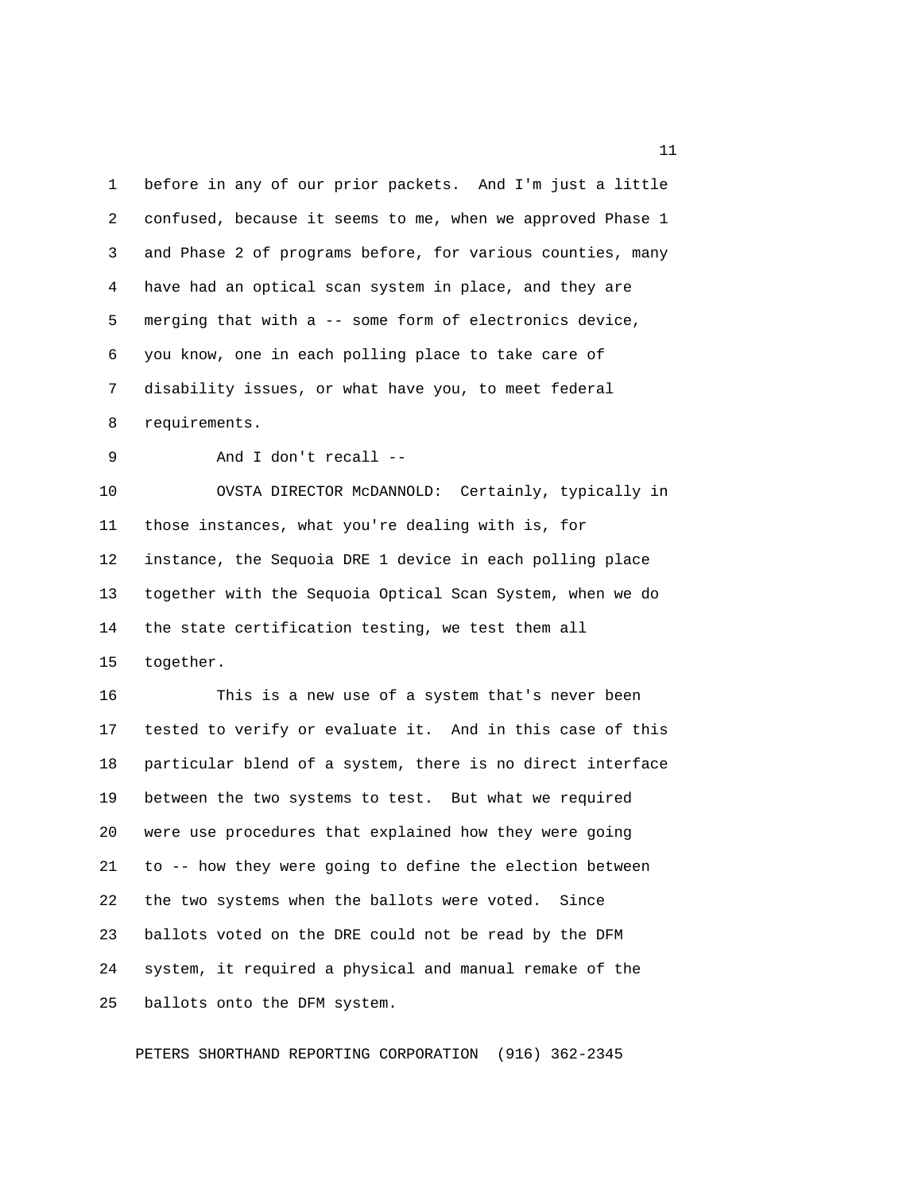1 before in any of our prior packets. And I'm just a little 2 confused, because it seems to me, when we approved Phase 1 3 and Phase 2 of programs before, for various counties, many 4 have had an optical scan system in place, and they are 5 merging that with a -- some form of electronics device, 6 you know, one in each polling place to take care of 7 disability issues, or what have you, to meet federal 8 requirements. 9 And I don't recall -- 10 OVSTA DIRECTOR McDANNOLD: Certainly, typically in 11 those instances, what you're dealing with is, for 12 instance, the Sequoia DRE 1 device in each polling place 13 together with the Sequoia Optical Scan System, when we do 14 the state certification testing, we test them all 15 together. 16 This is a new use of a system that's never been 17 tested to verify or evaluate it. And in this case of this 18 particular blend of a system, there is no direct interface 19 between the two systems to test. But what we required 20 were use procedures that explained how they were going 21 to -- how they were going to define the election between 22 the two systems when the ballots were voted. Since 23 ballots voted on the DRE could not be read by the DFM 24 system, it required a physical and manual remake of the 25 ballots onto the DFM system.

PETERS SHORTHAND REPORTING CORPORATION (916) 362-2345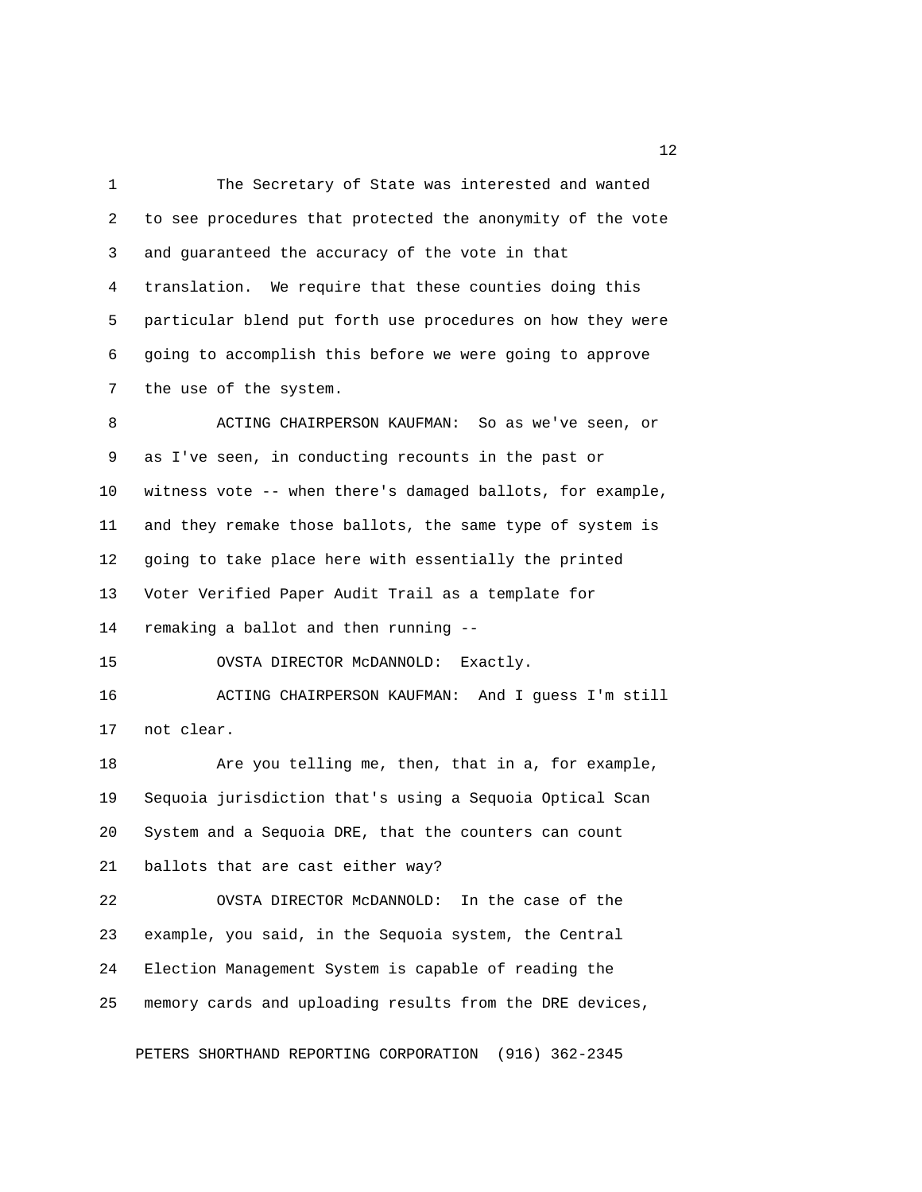1 The Secretary of State was interested and wanted 2 to see procedures that protected the anonymity of the vote 3 and guaranteed the accuracy of the vote in that 4 translation. We require that these counties doing this 5 particular blend put forth use procedures on how they were 6 going to accomplish this before we were going to approve 7 the use of the system. 8 ACTING CHAIRPERSON KAUFMAN: So as we've seen, or 9 as I've seen, in conducting recounts in the past or 10 witness vote -- when there's damaged ballots, for example, 11 and they remake those ballots, the same type of system is 12 going to take place here with essentially the printed 13 Voter Verified Paper Audit Trail as a template for 14 remaking a ballot and then running -- 15 OVSTA DIRECTOR McDANNOLD: Exactly. 16 ACTING CHAIRPERSON KAUFMAN: And I guess I'm still 17 not clear. 18 Are you telling me, then, that in a, for example, 19 Sequoia jurisdiction that's using a Sequoia Optical Scan 20 System and a Sequoia DRE, that the counters can count 21 ballots that are cast either way? 22 OVSTA DIRECTOR McDANNOLD: In the case of the 23 example, you said, in the Sequoia system, the Central 24 Election Management System is capable of reading the 25 memory cards and uploading results from the DRE devices,

PETERS SHORTHAND REPORTING CORPORATION (916) 362-2345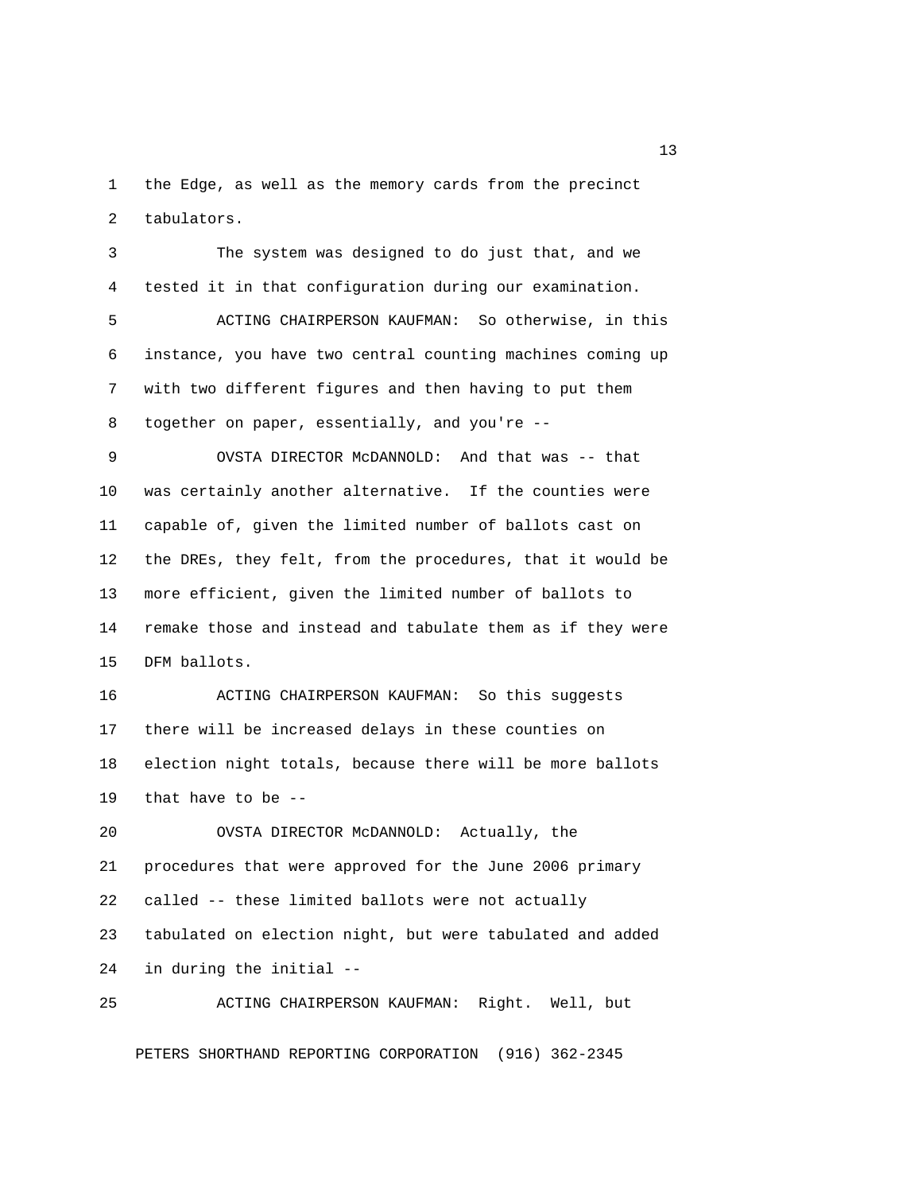1 the Edge, as well as the memory cards from the precinct 2 tabulators.

 3 The system was designed to do just that, and we 4 tested it in that configuration during our examination. 5 ACTING CHAIRPERSON KAUFMAN: So otherwise, in this 6 instance, you have two central counting machines coming up 7 with two different figures and then having to put them 8 together on paper, essentially, and you're -- 9 OVSTA DIRECTOR McDANNOLD: And that was -- that 10 was certainly another alternative. If the counties were 11 capable of, given the limited number of ballots cast on 12 the DREs, they felt, from the procedures, that it would be 13 more efficient, given the limited number of ballots to 14 remake those and instead and tabulate them as if they were 15 DFM ballots. 16 ACTING CHAIRPERSON KAUFMAN: So this suggests 17 there will be increased delays in these counties on 18 election night totals, because there will be more ballots

19 that have to be --

20 OVSTA DIRECTOR McDANNOLD: Actually, the 21 procedures that were approved for the June 2006 primary 22 called -- these limited ballots were not actually 23 tabulated on election night, but were tabulated and added 24 in during the initial --

25 ACTING CHAIRPERSON KAUFMAN: Right. Well, but PETERS SHORTHAND REPORTING CORPORATION (916) 362-2345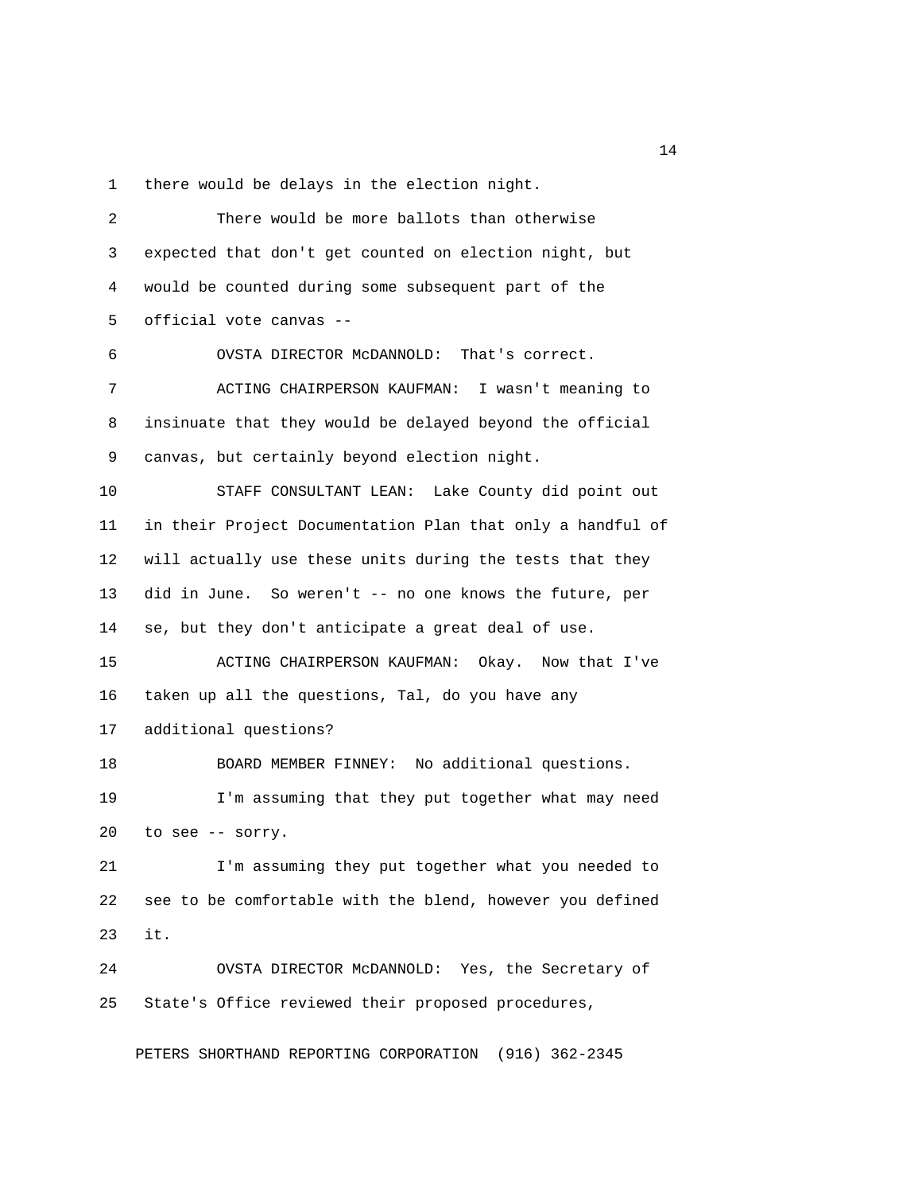1 there would be delays in the election night.

 2 There would be more ballots than otherwise 3 expected that don't get counted on election night, but 4 would be counted during some subsequent part of the 5 official vote canvas -- 6 OVSTA DIRECTOR McDANNOLD: That's correct. 7 ACTING CHAIRPERSON KAUFMAN: I wasn't meaning to 8 insinuate that they would be delayed beyond the official 9 canvas, but certainly beyond election night. 10 STAFF CONSULTANT LEAN: Lake County did point out 11 in their Project Documentation Plan that only a handful of 12 will actually use these units during the tests that they 13 did in June. So weren't -- no one knows the future, per 14 se, but they don't anticipate a great deal of use. 15 ACTING CHAIRPERSON KAUFMAN: Okay. Now that I've 16 taken up all the questions, Tal, do you have any 17 additional questions? 18 BOARD MEMBER FINNEY: No additional questions. 19 I'm assuming that they put together what may need 20 to see -- sorry. 21 I'm assuming they put together what you needed to 22 see to be comfortable with the blend, however you defined 23 it. 24 OVSTA DIRECTOR McDANNOLD: Yes, the Secretary of 25 State's Office reviewed their proposed procedures,

PETERS SHORTHAND REPORTING CORPORATION (916) 362-2345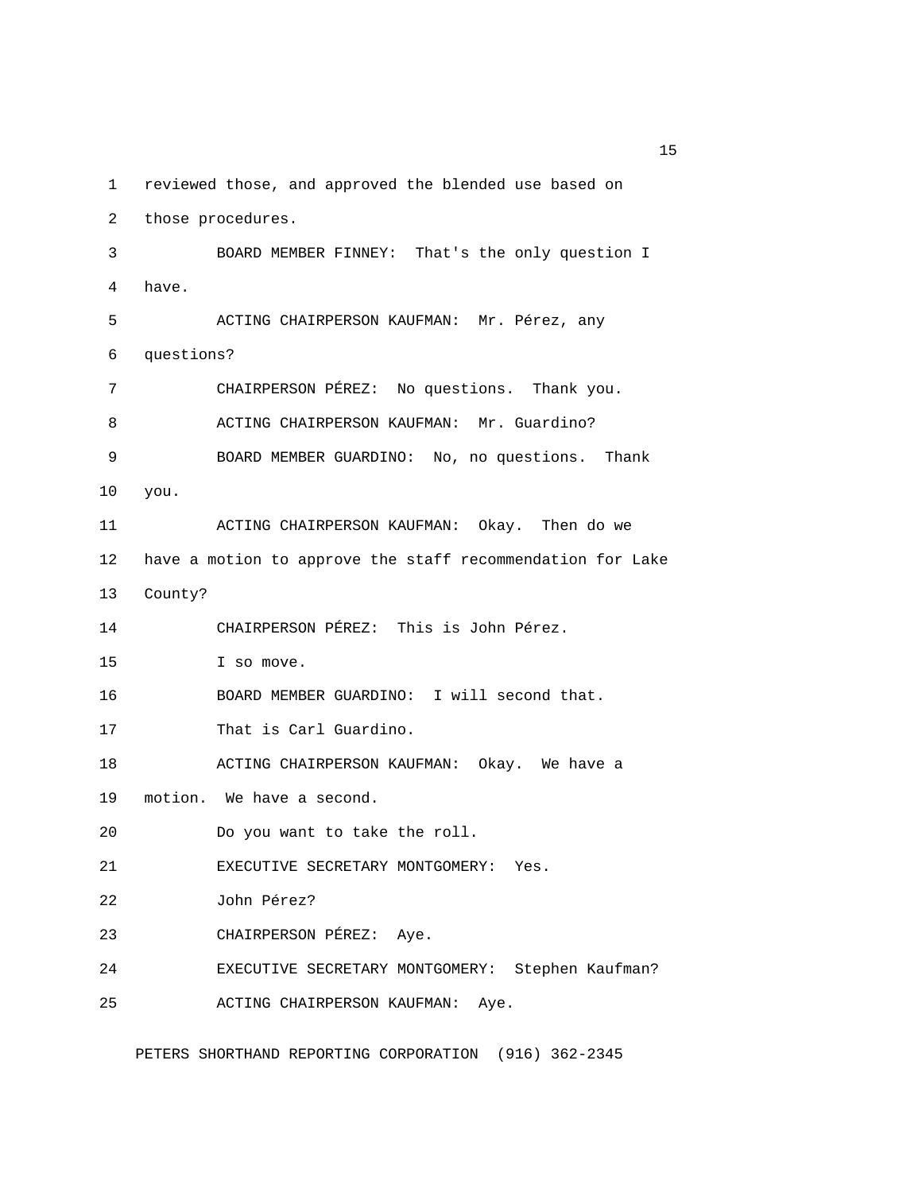1 reviewed those, and approved the blended use based on

2 those procedures.

 3 BOARD MEMBER FINNEY: That's the only question I 4 have. 5 ACTING CHAIRPERSON KAUFMAN: Mr. Pérez, any 6 questions? 7 CHAIRPERSON PÉREZ: No questions. Thank you. 8 ACTING CHAIRPERSON KAUFMAN: Mr. Guardino? 9 BOARD MEMBER GUARDINO: No, no questions. Thank 10 you. 11 ACTING CHAIRPERSON KAUFMAN: Okay. Then do we 12 have a motion to approve the staff recommendation for Lake 13 County? 14 CHAIRPERSON PÉREZ: This is John Pérez. 15 I so move. 16 BOARD MEMBER GUARDINO: I will second that. 17 That is Carl Guardino. 18 ACTING CHAIRPERSON KAUFMAN: Okay. We have a 19 motion. We have a second. 20 Do you want to take the roll. 21 EXECUTIVE SECRETARY MONTGOMERY: Yes. 22 John Pérez? 23 CHAIRPERSON PÉREZ: Aye. 24 EXECUTIVE SECRETARY MONTGOMERY: Stephen Kaufman? 25 ACTING CHAIRPERSON KAUFMAN: Aye.

PETERS SHORTHAND REPORTING CORPORATION (916) 362-2345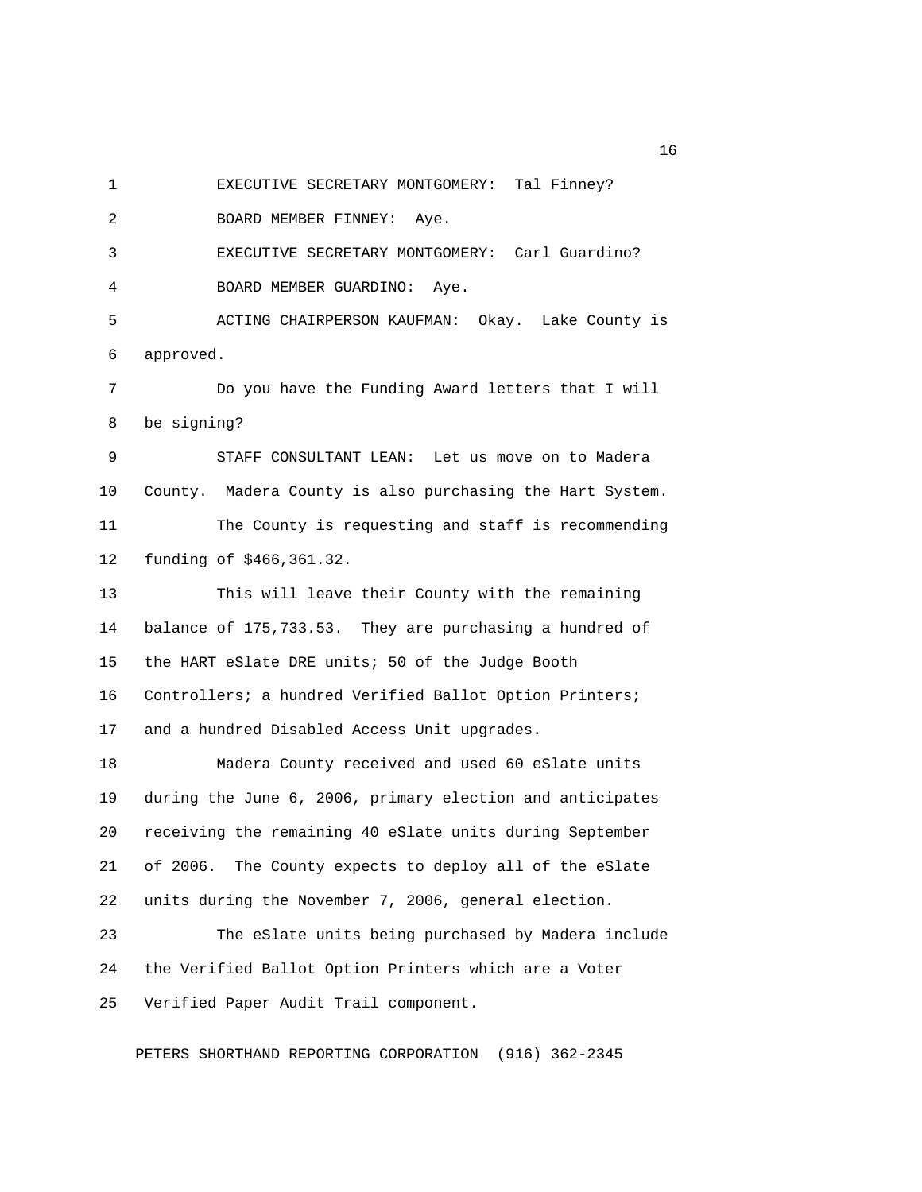1 EXECUTIVE SECRETARY MONTGOMERY: Tal Finney?

2 BOARD MEMBER FINNEY: Aye.

 3 EXECUTIVE SECRETARY MONTGOMERY: Carl Guardino? 4 BOARD MEMBER GUARDINO: Aye.

 5 ACTING CHAIRPERSON KAUFMAN: Okay. Lake County is 6 approved.

 7 Do you have the Funding Award letters that I will 8 be signing?

 9 STAFF CONSULTANT LEAN: Let us move on to Madera 10 County. Madera County is also purchasing the Hart System. 11 The County is requesting and staff is recommending 12 funding of \$466,361.32.

13 This will leave their County with the remaining 14 balance of 175,733.53. They are purchasing a hundred of 15 the HART eSlate DRE units; 50 of the Judge Booth 16 Controllers; a hundred Verified Ballot Option Printers; 17 and a hundred Disabled Access Unit upgrades.

18 Madera County received and used 60 eSlate units 19 during the June 6, 2006, primary election and anticipates 20 receiving the remaining 40 eSlate units during September 21 of 2006. The County expects to deploy all of the eSlate 22 units during the November 7, 2006, general election.

23 The eSlate units being purchased by Madera include 24 the Verified Ballot Option Printers which are a Voter 25 Verified Paper Audit Trail component.

PETERS SHORTHAND REPORTING CORPORATION (916) 362-2345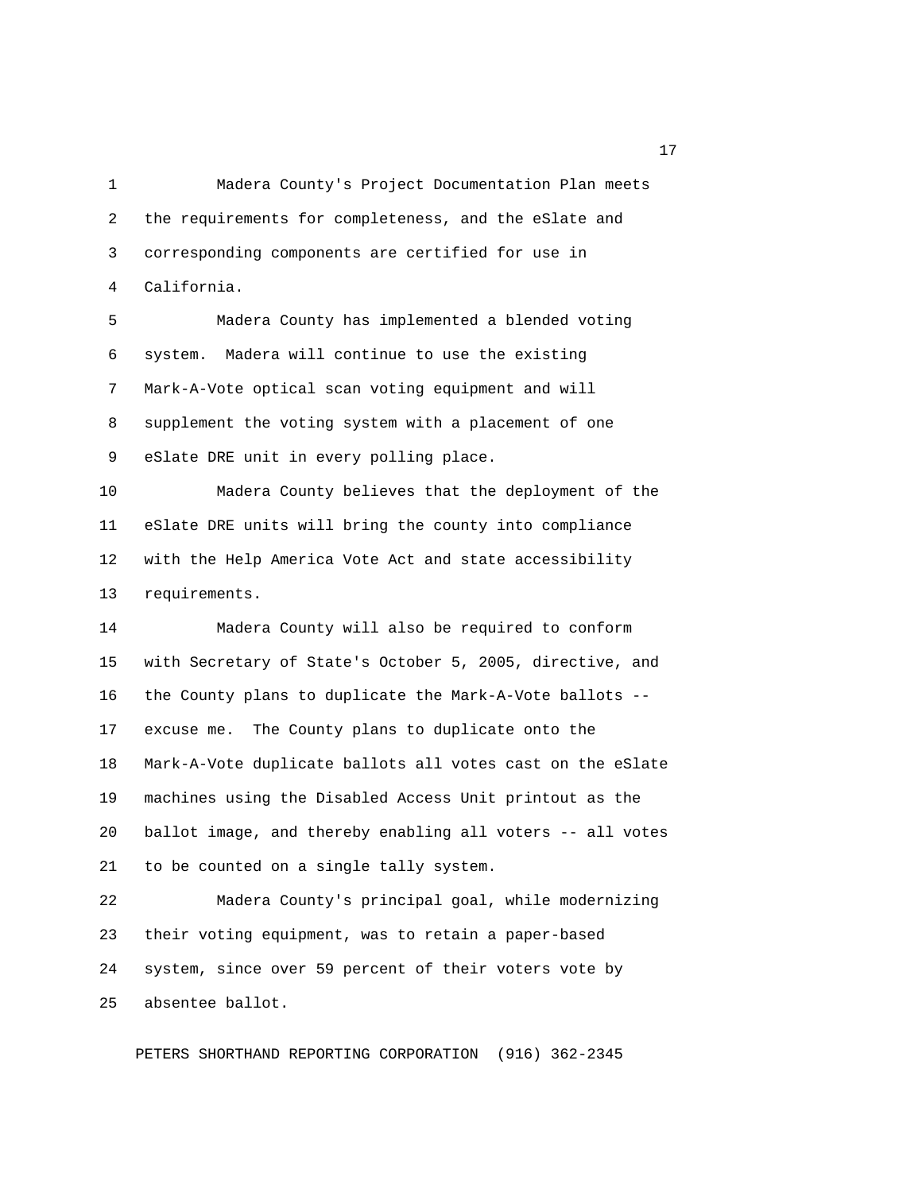1 Madera County's Project Documentation Plan meets 2 the requirements for completeness, and the eSlate and 3 corresponding components are certified for use in 4 California.

 5 Madera County has implemented a blended voting 6 system. Madera will continue to use the existing 7 Mark-A-Vote optical scan voting equipment and will 8 supplement the voting system with a placement of one 9 eSlate DRE unit in every polling place.

10 Madera County believes that the deployment of the 11 eSlate DRE units will bring the county into compliance 12 with the Help America Vote Act and state accessibility 13 requirements.

14 Madera County will also be required to conform 15 with Secretary of State's October 5, 2005, directive, and 16 the County plans to duplicate the Mark-A-Vote ballots -- 17 excuse me. The County plans to duplicate onto the 18 Mark-A-Vote duplicate ballots all votes cast on the eSlate 19 machines using the Disabled Access Unit printout as the 20 ballot image, and thereby enabling all voters -- all votes 21 to be counted on a single tally system.

22 Madera County's principal goal, while modernizing 23 their voting equipment, was to retain a paper-based 24 system, since over 59 percent of their voters vote by 25 absentee ballot.

PETERS SHORTHAND REPORTING CORPORATION (916) 362-2345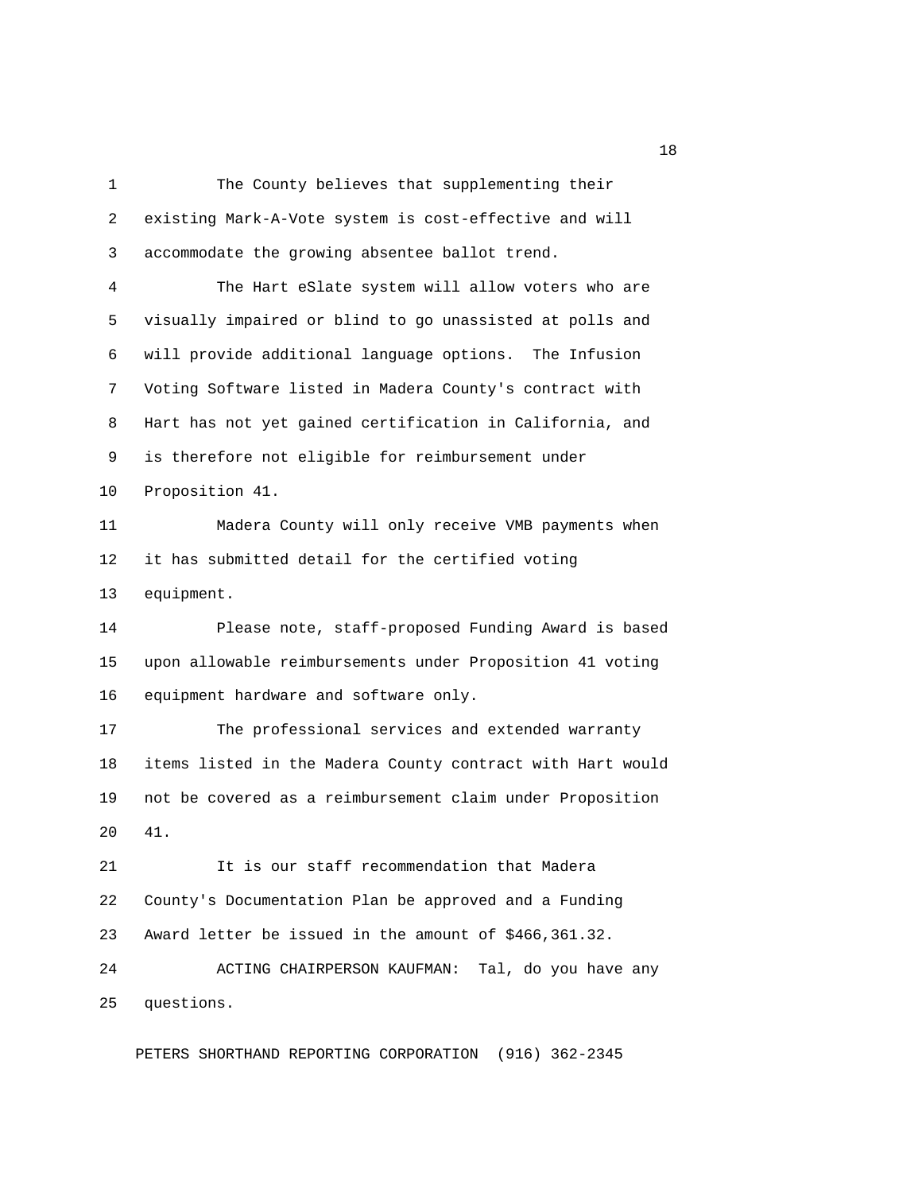1 The County believes that supplementing their 2 existing Mark-A-Vote system is cost-effective and will 3 accommodate the growing absentee ballot trend. 4 The Hart eSlate system will allow voters who are 5 visually impaired or blind to go unassisted at polls and 6 will provide additional language options. The Infusion 7 Voting Software listed in Madera County's contract with 8 Hart has not yet gained certification in California, and 9 is therefore not eligible for reimbursement under 10 Proposition 41. 11 Madera County will only receive VMB payments when 12 it has submitted detail for the certified voting 13 equipment. 14 Please note, staff-proposed Funding Award is based 15 upon allowable reimbursements under Proposition 41 voting 16 equipment hardware and software only. 17 The professional services and extended warranty 18 items listed in the Madera County contract with Hart would 19 not be covered as a reimbursement claim under Proposition 20 41. 21 It is our staff recommendation that Madera 22 County's Documentation Plan be approved and a Funding 23 Award letter be issued in the amount of \$466,361.32. 24 ACTING CHAIRPERSON KAUFMAN: Tal, do you have any 25 questions.

PETERS SHORTHAND REPORTING CORPORATION (916) 362-2345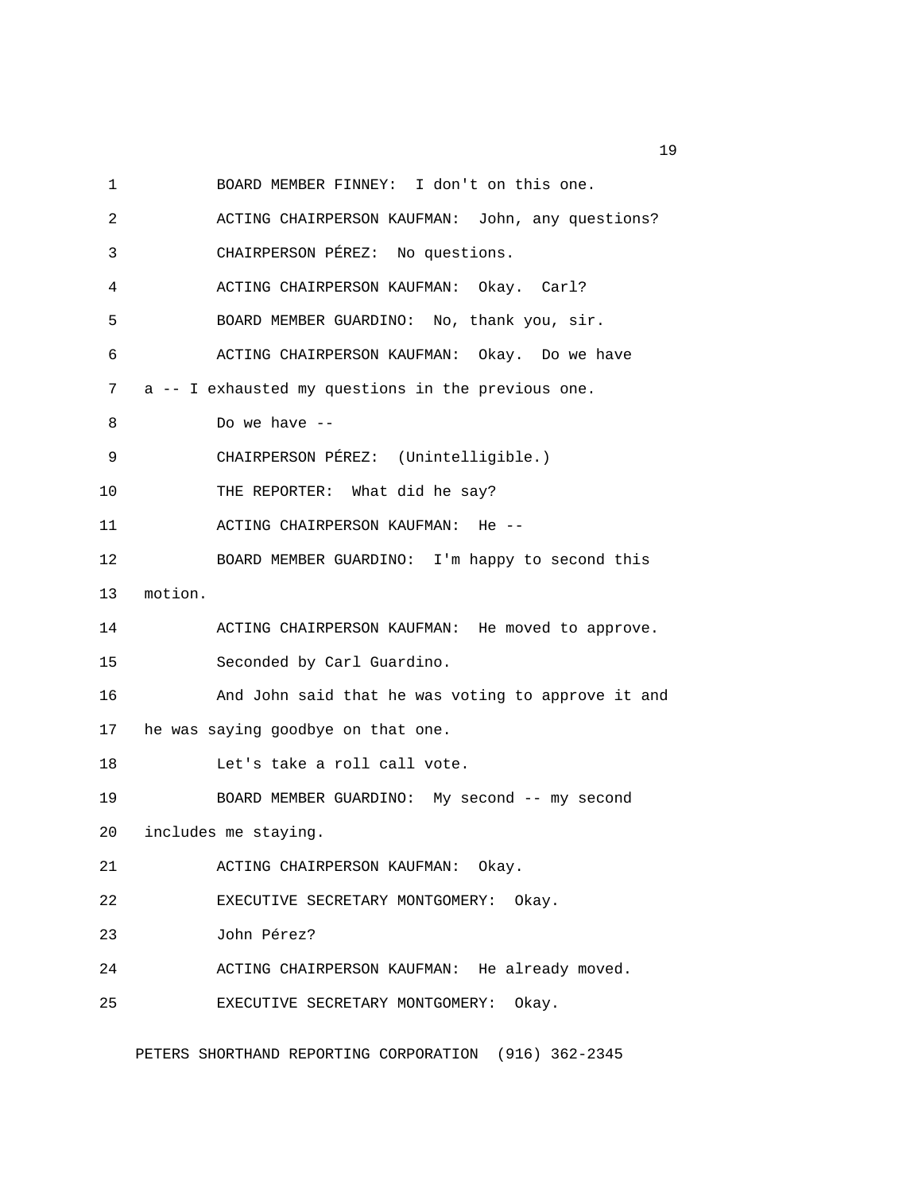1 BOARD MEMBER FINNEY: I don't on this one.

2 ACTING CHAIRPERSON KAUFMAN: John, any questions? 3 CHAIRPERSON PÉREZ: No questions. 4 ACTING CHAIRPERSON KAUFMAN: Okay. Carl? 5 BOARD MEMBER GUARDINO: No, thank you, sir. 6 ACTING CHAIRPERSON KAUFMAN: Okay. Do we have 7 a -- I exhausted my questions in the previous one. 8 Do we have -- 9 CHAIRPERSON PÉREZ: (Unintelligible.) 10 THE REPORTER: What did he say? 11 ACTING CHAIRPERSON KAUFMAN: He -- 12 BOARD MEMBER GUARDINO: I'm happy to second this 13 motion. 14 ACTING CHAIRPERSON KAUFMAN: He moved to approve. 15 Seconded by Carl Guardino. 16 And John said that he was voting to approve it and 17 he was saying goodbye on that one. 18 Let's take a roll call vote. 19 BOARD MEMBER GUARDINO: My second -- my second 20 includes me staying. 21 ACTING CHAIRPERSON KAUFMAN: Okay. 22 EXECUTIVE SECRETARY MONTGOMERY: Okay. 23 John Pérez? 24 ACTING CHAIRPERSON KAUFMAN: He already moved. 25 EXECUTIVE SECRETARY MONTGOMERY: Okay.

PETERS SHORTHAND REPORTING CORPORATION (916) 362-2345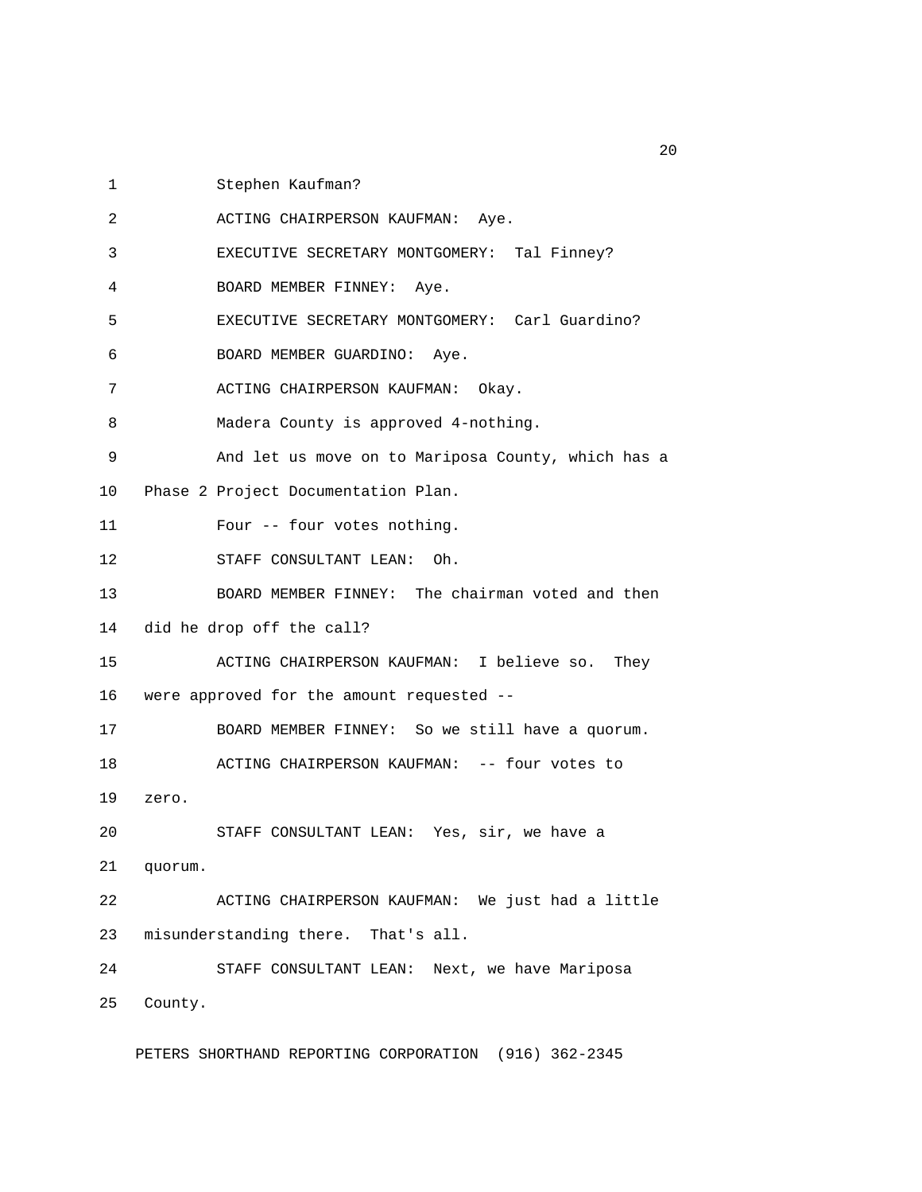1 Stephen Kaufman?

 2 ACTING CHAIRPERSON KAUFMAN: Aye. 3 EXECUTIVE SECRETARY MONTGOMERY: Tal Finney? 4 BOARD MEMBER FINNEY: Aye. 5 EXECUTIVE SECRETARY MONTGOMERY: Carl Guardino? 6 BOARD MEMBER GUARDINO: Aye. 7 ACTING CHAIRPERSON KAUFMAN: Okay. 8 Madera County is approved 4-nothing. 9 And let us move on to Mariposa County, which has a 10 Phase 2 Project Documentation Plan. 11 Four -- four votes nothing. 12 STAFF CONSULTANT LEAN: Oh. 13 BOARD MEMBER FINNEY: The chairman voted and then 14 did he drop off the call? 15 ACTING CHAIRPERSON KAUFMAN: I believe so. They 16 were approved for the amount requested -- 17 BOARD MEMBER FINNEY: So we still have a quorum. 18 ACTING CHAIRPERSON KAUFMAN: -- four votes to 19 zero. 20 STAFF CONSULTANT LEAN: Yes, sir, we have a 21 quorum. 22 ACTING CHAIRPERSON KAUFMAN: We just had a little 23 misunderstanding there. That's all. 24 STAFF CONSULTANT LEAN: Next, we have Mariposa 25 County.

PETERS SHORTHAND REPORTING CORPORATION (916) 362-2345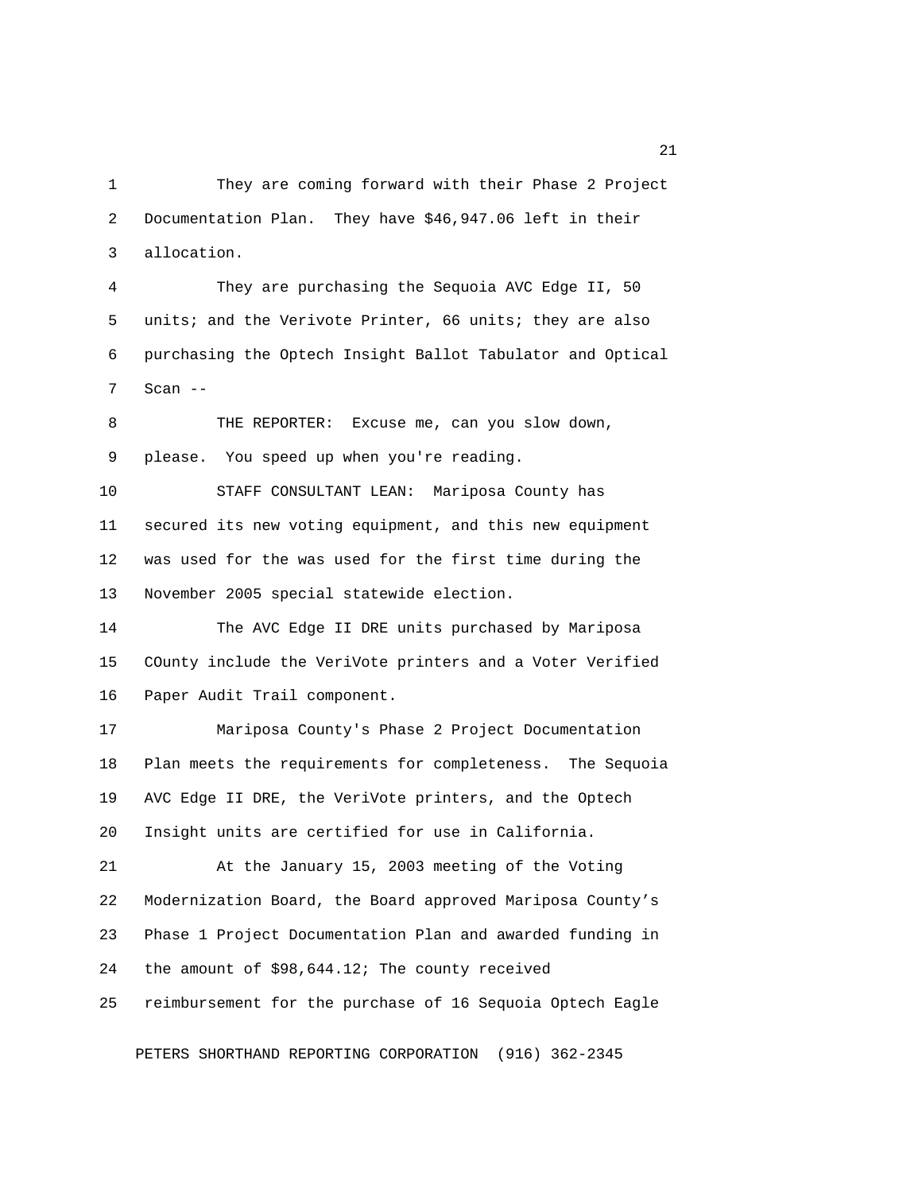1 They are coming forward with their Phase 2 Project 2 Documentation Plan. They have \$46,947.06 left in their 3 allocation.

 4 They are purchasing the Sequoia AVC Edge II, 50 5 units; and the Verivote Printer, 66 units; they are also 6 purchasing the Optech Insight Ballot Tabulator and Optical 7 Scan --

8 THE REPORTER: Excuse me, can you slow down, 9 please. You speed up when you're reading.

10 STAFF CONSULTANT LEAN: Mariposa County has 11 secured its new voting equipment, and this new equipment 12 was used for the was used for the first time during the 13 November 2005 special statewide election.

14 The AVC Edge II DRE units purchased by Mariposa 15 COunty include the VeriVote printers and a Voter Verified 16 Paper Audit Trail component.

17 Mariposa County's Phase 2 Project Documentation 18 Plan meets the requirements for completeness. The Sequoia 19 AVC Edge II DRE, the VeriVote printers, and the Optech 20 Insight units are certified for use in California.

21 At the January 15, 2003 meeting of the Voting 22 Modernization Board, the Board approved Mariposa County's 23 Phase 1 Project Documentation Plan and awarded funding in 24 the amount of \$98,644.12; The county received 25 reimbursement for the purchase of 16 Sequoia Optech Eagle

PETERS SHORTHAND REPORTING CORPORATION (916) 362-2345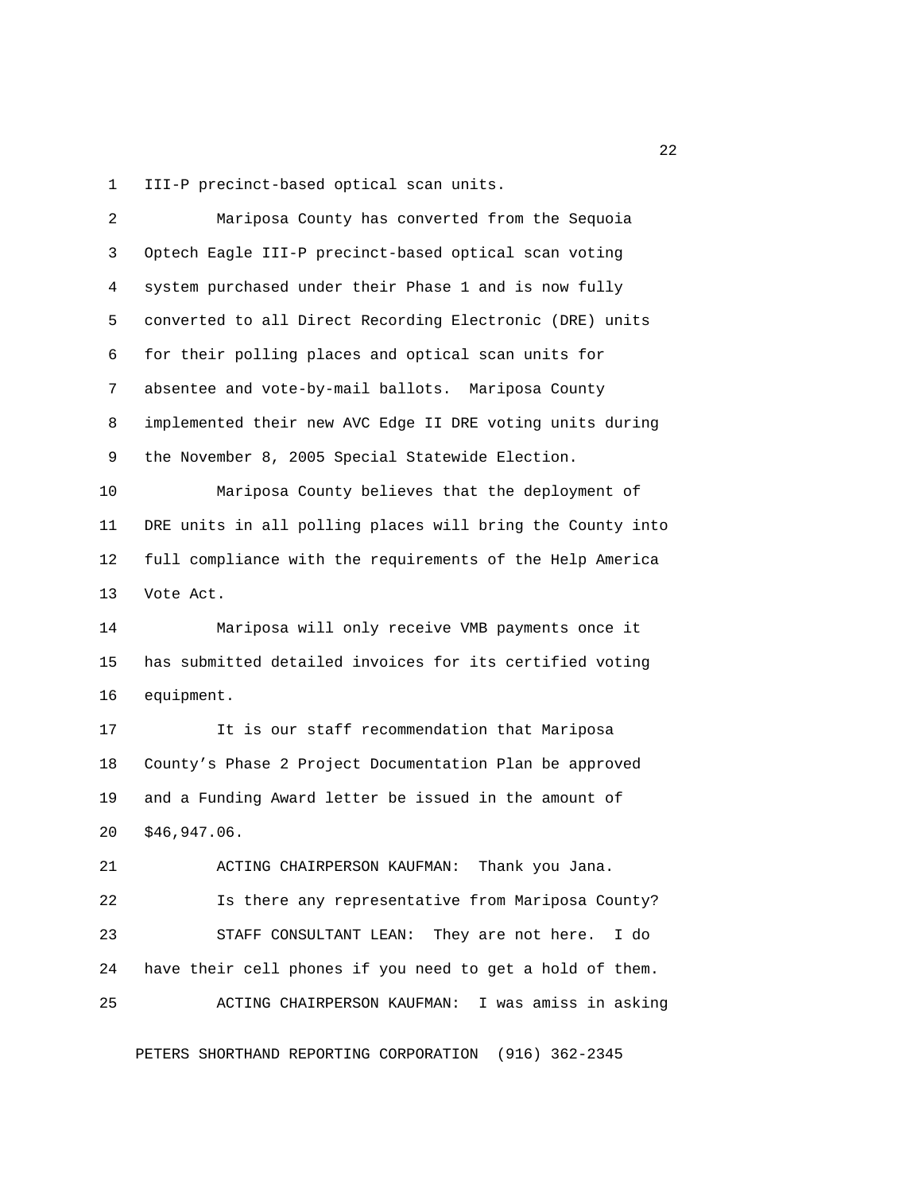1 III-P precinct-based optical scan units.

| 2  | Mariposa County has converted from the Sequoia             |
|----|------------------------------------------------------------|
| 3  | Optech Eagle III-P precinct-based optical scan voting      |
| 4  | system purchased under their Phase 1 and is now fully      |
| 5  | converted to all Direct Recording Electronic (DRE) units   |
| 6  | for their polling places and optical scan units for        |
| 7  | absentee and vote-by-mail ballots. Mariposa County         |
| 8  | implemented their new AVC Edge II DRE voting units during  |
| 9  | the November 8, 2005 Special Statewide Election.           |
| 10 | Mariposa County believes that the deployment of            |
| 11 | DRE units in all polling places will bring the County into |
| 12 | full compliance with the requirements of the Help America  |
| 13 | Vote Act.                                                  |
|    |                                                            |
| 14 | Mariposa will only receive VMB payments once it            |
| 15 | has submitted detailed invoices for its certified voting   |
| 16 | equipment.                                                 |
| 17 | It is our staff recommendation that Mariposa               |
| 18 | County's Phase 2 Project Documentation Plan be approved    |
| 19 | and a Funding Award letter be issued in the amount of      |
| 20 | \$46,947.06.                                               |
| 21 | ACTING CHAIRPERSON KAUFMAN: Thank you Jana.                |
| 22 | Is there any representative from Mariposa County?          |
| 23 | STAFF CONSULTANT LEAN: They are not here.<br>I do          |
| 24 | have their cell phones if you need to get a hold of them.  |
| 25 | ACTING CHAIRPERSON KAUFMAN: I was amiss in asking          |

PETERS SHORTHAND REPORTING CORPORATION (916) 362-2345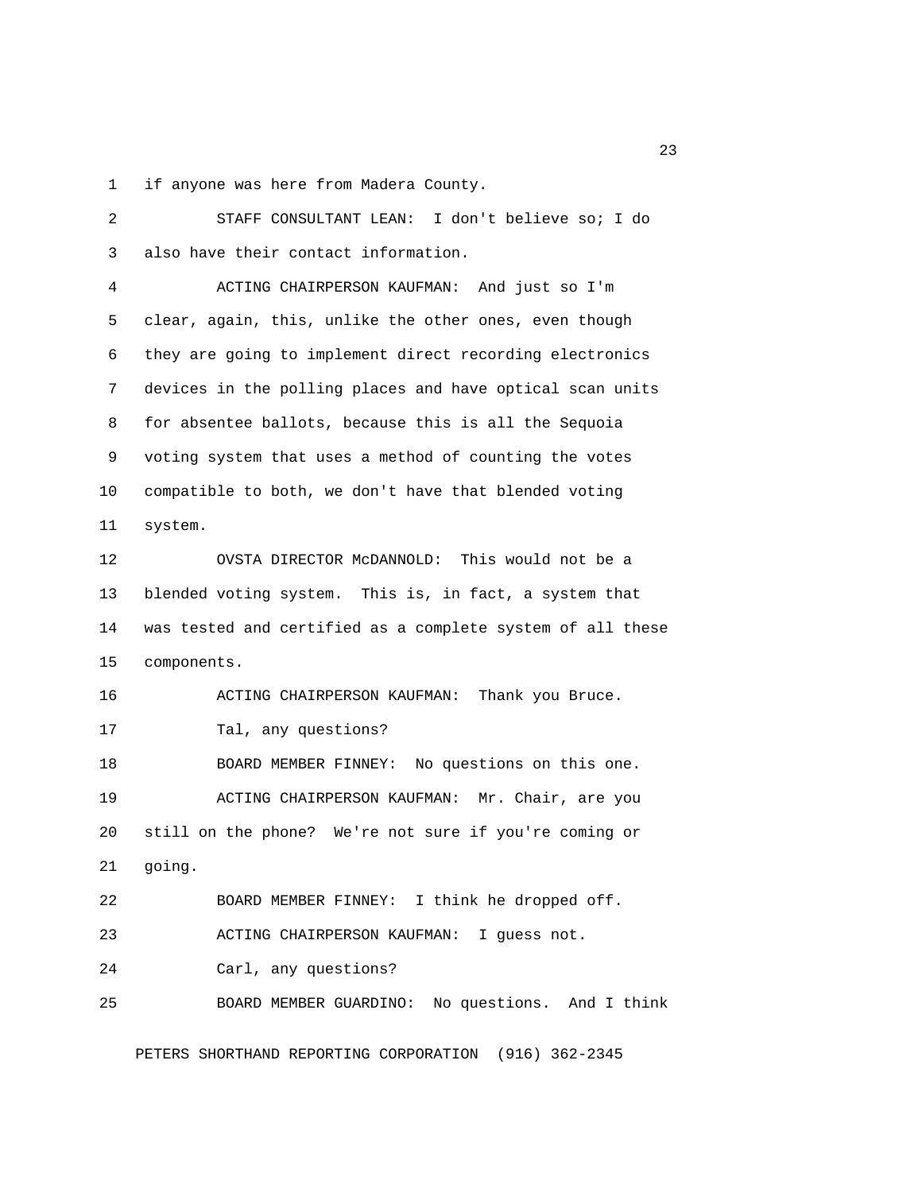1 if anyone was here from Madera County.

 2 STAFF CONSULTANT LEAN: I don't believe so; I do 3 also have their contact information. 4 ACTING CHAIRPERSON KAUFMAN: And just so I'm 5 clear, again, this, unlike the other ones, even though 6 they are going to implement direct recording electronics 7 devices in the polling places and have optical scan units 8 for absentee ballots, because this is all the Sequoia 9 voting system that uses a method of counting the votes 10 compatible to both, we don't have that blended voting 11 system. 12 OVSTA DIRECTOR McDANNOLD: This would not be a 13 blended voting system. This is, in fact, a system that 14 was tested and certified as a complete system of all these 15 components. 16 ACTING CHAIRPERSON KAUFMAN: Thank you Bruce. 17 Tal, any questions? 18 BOARD MEMBER FINNEY: No questions on this one. 19 ACTING CHAIRPERSON KAUFMAN: Mr. Chair, are you 20 still on the phone? We're not sure if you're coming or 21 going. 22 BOARD MEMBER FINNEY: I think he dropped off. 23 ACTING CHAIRPERSON KAUFMAN: I guess not. 24 Carl, any questions? 25 BOARD MEMBER GUARDINO: No questions. And I think

PETERS SHORTHAND REPORTING CORPORATION (916) 362-2345

23 and 23 and 23 and 23 and 23 and 23 and 23 and 23 and 23 and 23 and 23 and 23 and 23 and 23 and 23 and 23 and 23 and 23 and 23 and 23 and 23 and 23 and 24 and 25 and 25 and 26 and 26 and 26 and 26 and 26 and 26 and 26 an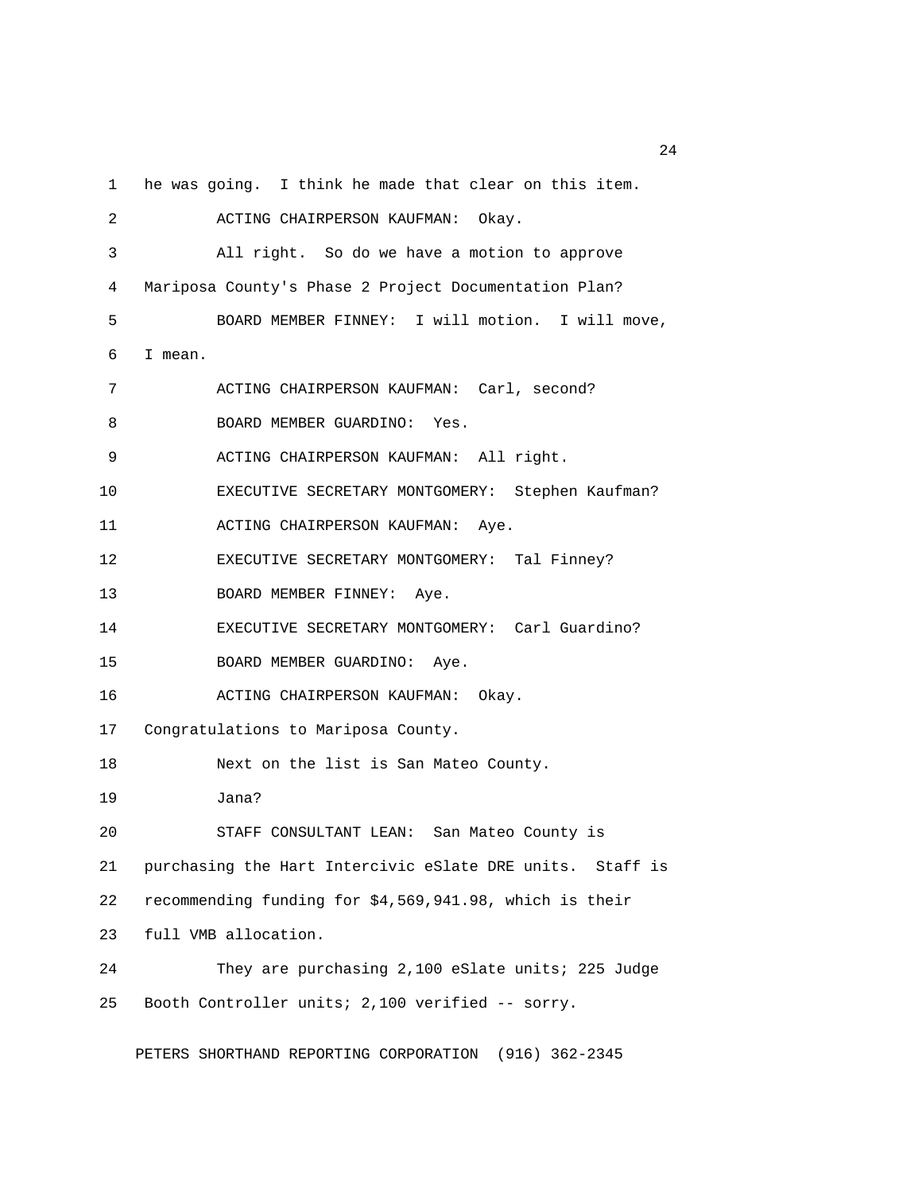1 he was going. I think he made that clear on this item.

 2 ACTING CHAIRPERSON KAUFMAN: Okay. 3 All right. So do we have a motion to approve 4 Mariposa County's Phase 2 Project Documentation Plan? 5 BOARD MEMBER FINNEY: I will motion. I will move, 6 I mean. 7 ACTING CHAIRPERSON KAUFMAN: Carl, second? 8 BOARD MEMBER GUARDINO: Yes. 9 ACTING CHAIRPERSON KAUFMAN: All right. 10 EXECUTIVE SECRETARY MONTGOMERY: Stephen Kaufman? 11 ACTING CHAIRPERSON KAUFMAN: Aye. 12 EXECUTIVE SECRETARY MONTGOMERY: Tal Finney? 13 BOARD MEMBER FINNEY: Aye. 14 EXECUTIVE SECRETARY MONTGOMERY: Carl Guardino? 15 BOARD MEMBER GUARDINO: Aye. 16 ACTING CHAIRPERSON KAUFMAN: Okay. 17 Congratulations to Mariposa County. 18 Next on the list is San Mateo County. 19 Jana? 20 STAFF CONSULTANT LEAN: San Mateo County is 21 purchasing the Hart Intercivic eSlate DRE units. Staff is 22 recommending funding for \$4,569,941.98, which is their 23 full VMB allocation. 24 They are purchasing 2,100 eSlate units; 225 Judge 25 Booth Controller units; 2,100 verified -- sorry.

PETERS SHORTHAND REPORTING CORPORATION (916) 362-2345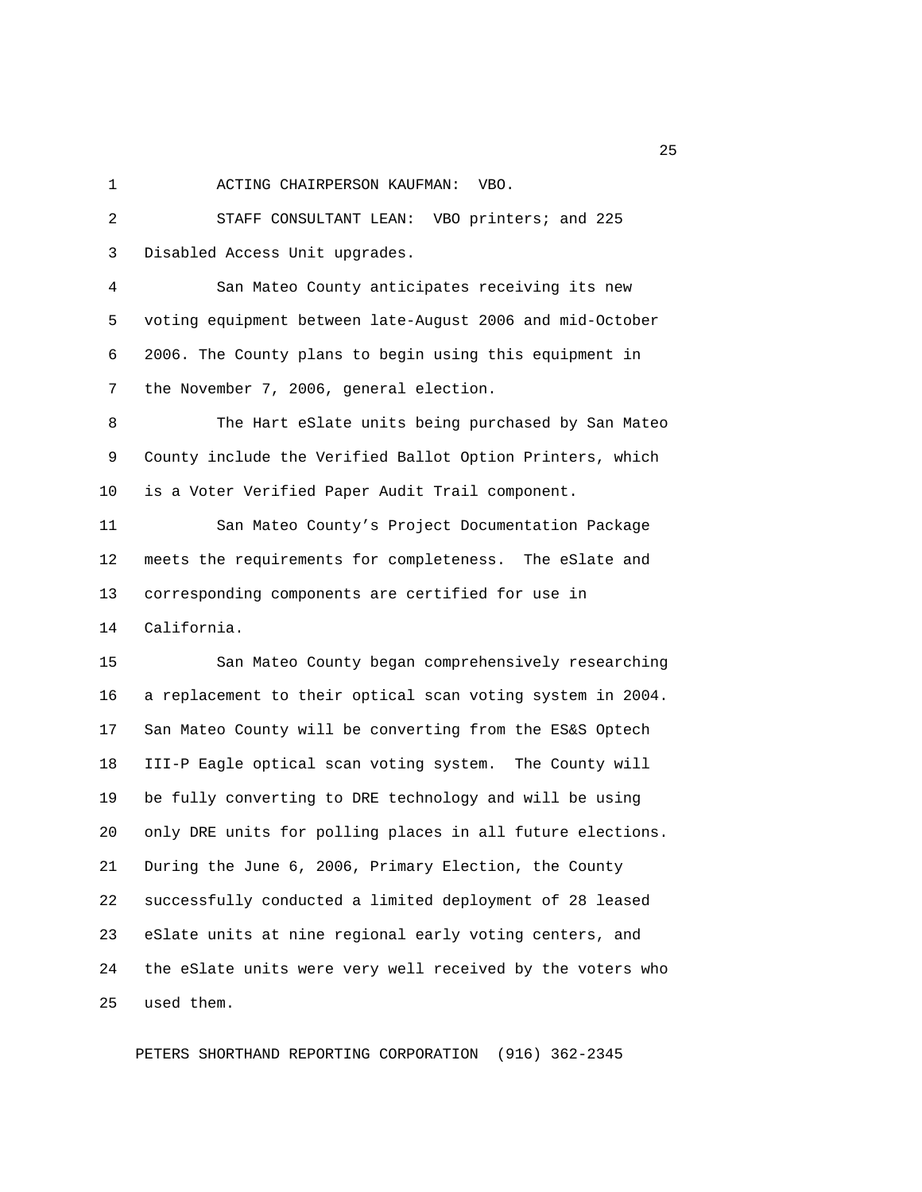1 ACTING CHAIRPERSON KAUFMAN: VBO.

 2 STAFF CONSULTANT LEAN: VBO printers; and 225 3 Disabled Access Unit upgrades.

 4 San Mateo County anticipates receiving its new 5 voting equipment between late-August 2006 and mid-October 6 2006. The County plans to begin using this equipment in 7 the November 7, 2006, general election.

 8 The Hart eSlate units being purchased by San Mateo 9 County include the Verified Ballot Option Printers, which 10 is a Voter Verified Paper Audit Trail component.

11 San Mateo County's Project Documentation Package 12 meets the requirements for completeness. The eSlate and 13 corresponding components are certified for use in 14 California.

15 San Mateo County began comprehensively researching 16 a replacement to their optical scan voting system in 2004. 17 San Mateo County will be converting from the ES&S Optech 18 III-P Eagle optical scan voting system. The County will 19 be fully converting to DRE technology and will be using 20 only DRE units for polling places in all future elections. 21 During the June 6, 2006, Primary Election, the County 22 successfully conducted a limited deployment of 28 leased 23 eSlate units at nine regional early voting centers, and 24 the eSlate units were very well received by the voters who 25 used them.

PETERS SHORTHAND REPORTING CORPORATION (916) 362-2345

25 and 25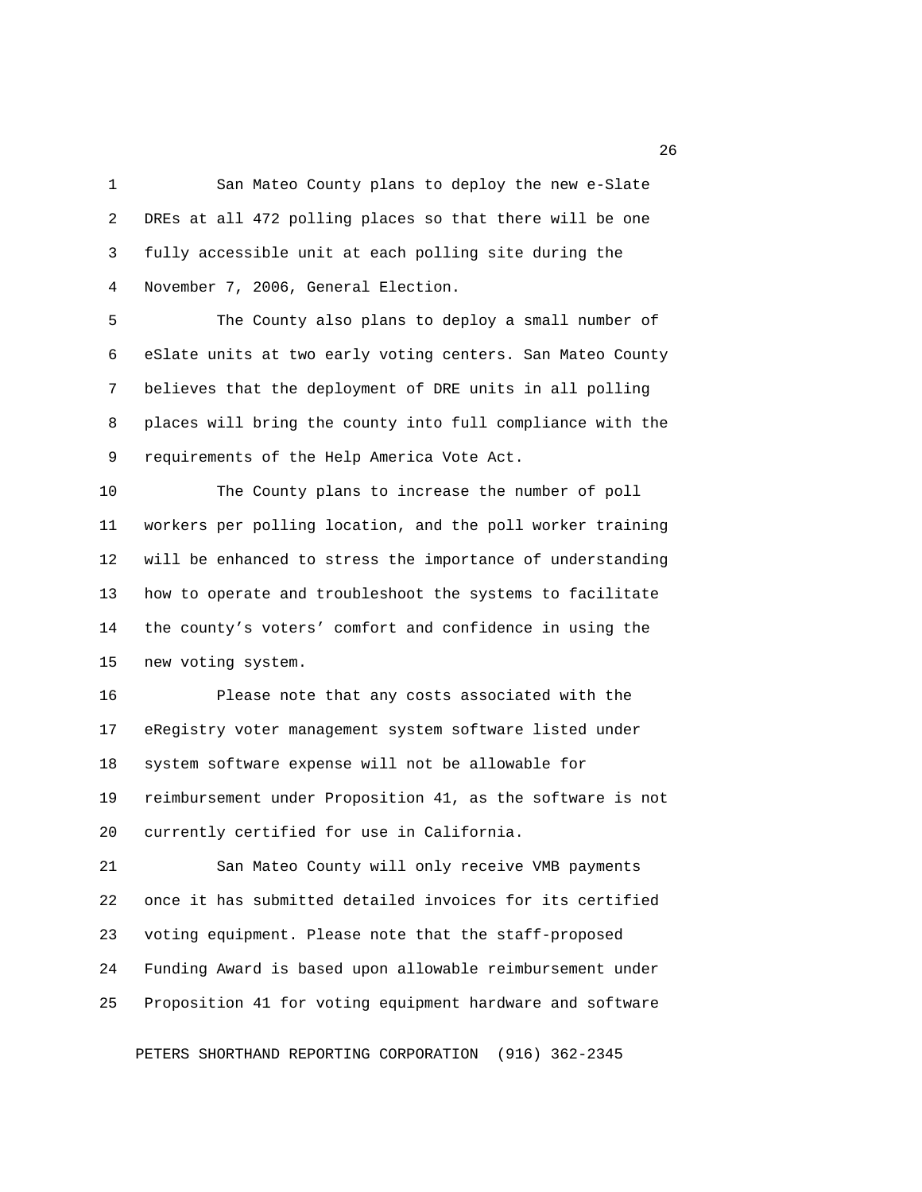1 San Mateo County plans to deploy the new e-Slate 2 DREs at all 472 polling places so that there will be one 3 fully accessible unit at each polling site during the 4 November 7, 2006, General Election.

 5 The County also plans to deploy a small number of 6 eSlate units at two early voting centers. San Mateo County 7 believes that the deployment of DRE units in all polling 8 places will bring the county into full compliance with the 9 requirements of the Help America Vote Act.

10 The County plans to increase the number of poll 11 workers per polling location, and the poll worker training 12 will be enhanced to stress the importance of understanding 13 how to operate and troubleshoot the systems to facilitate 14 the county's voters' comfort and confidence in using the 15 new voting system.

16 Please note that any costs associated with the 17 eRegistry voter management system software listed under 18 system software expense will not be allowable for 19 reimbursement under Proposition 41, as the software is not 20 currently certified for use in California.

21 San Mateo County will only receive VMB payments 22 once it has submitted detailed invoices for its certified 23 voting equipment. Please note that the staff-proposed 24 Funding Award is based upon allowable reimbursement under 25 Proposition 41 for voting equipment hardware and software

PETERS SHORTHAND REPORTING CORPORATION (916) 362-2345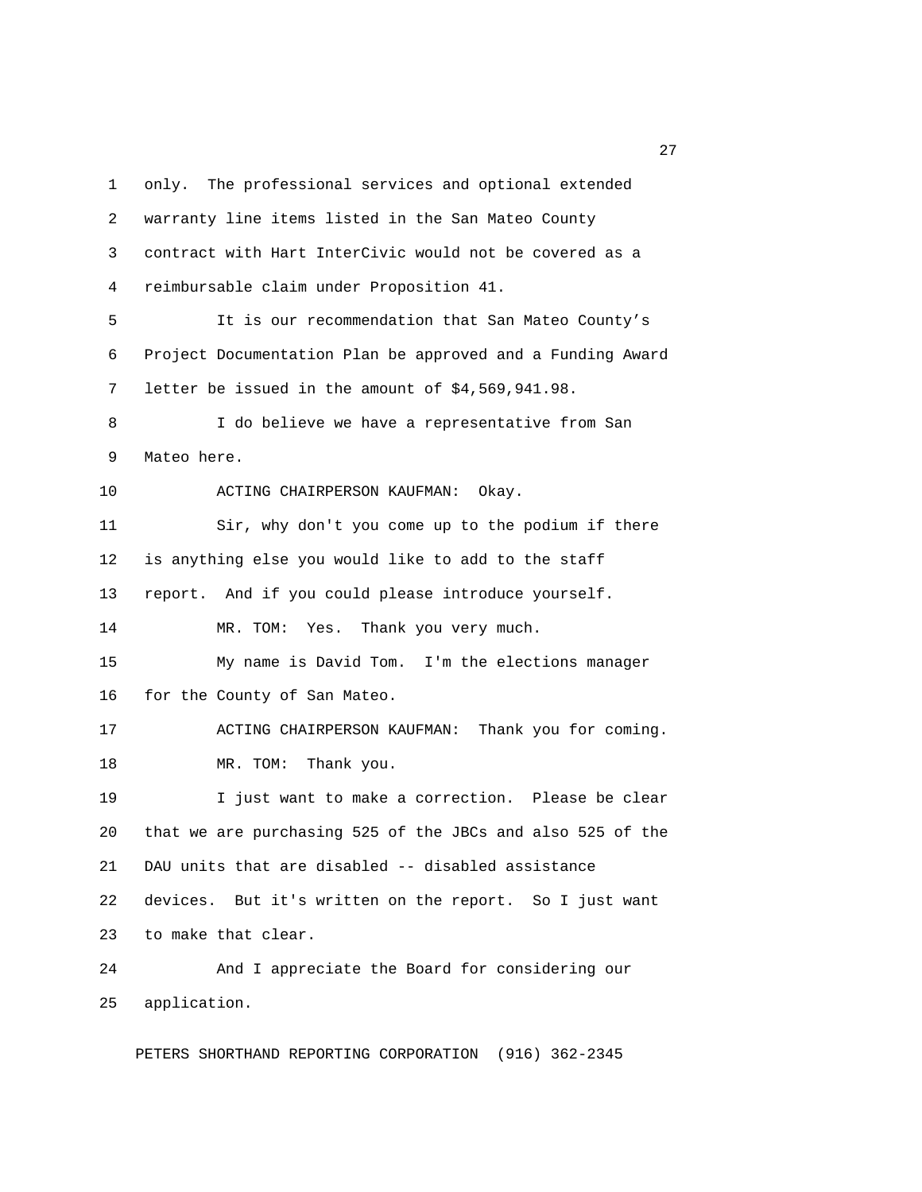1 only. The professional services and optional extended 2 warranty line items listed in the San Mateo County 3 contract with Hart InterCivic would not be covered as a 4 reimbursable claim under Proposition 41. 5 It is our recommendation that San Mateo County's 6 Project Documentation Plan be approved and a Funding Award 7 letter be issued in the amount of \$4,569,941.98. 8 I do believe we have a representative from San 9 Mateo here. 10 ACTING CHAIRPERSON KAUFMAN: Okay. 11 Sir, why don't you come up to the podium if there 12 is anything else you would like to add to the staff 13 report. And if you could please introduce yourself. 14 MR. TOM: Yes. Thank you very much. 15 My name is David Tom. I'm the elections manager 16 for the County of San Mateo. 17 ACTING CHAIRPERSON KAUFMAN: Thank you for coming. 18 MR. TOM: Thank you. 19 I just want to make a correction. Please be clear 20 that we are purchasing 525 of the JBCs and also 525 of the 21 DAU units that are disabled -- disabled assistance 22 devices. But it's written on the report. So I just want 23 to make that clear. 24 And I appreciate the Board for considering our 25 application.

PETERS SHORTHAND REPORTING CORPORATION (916) 362-2345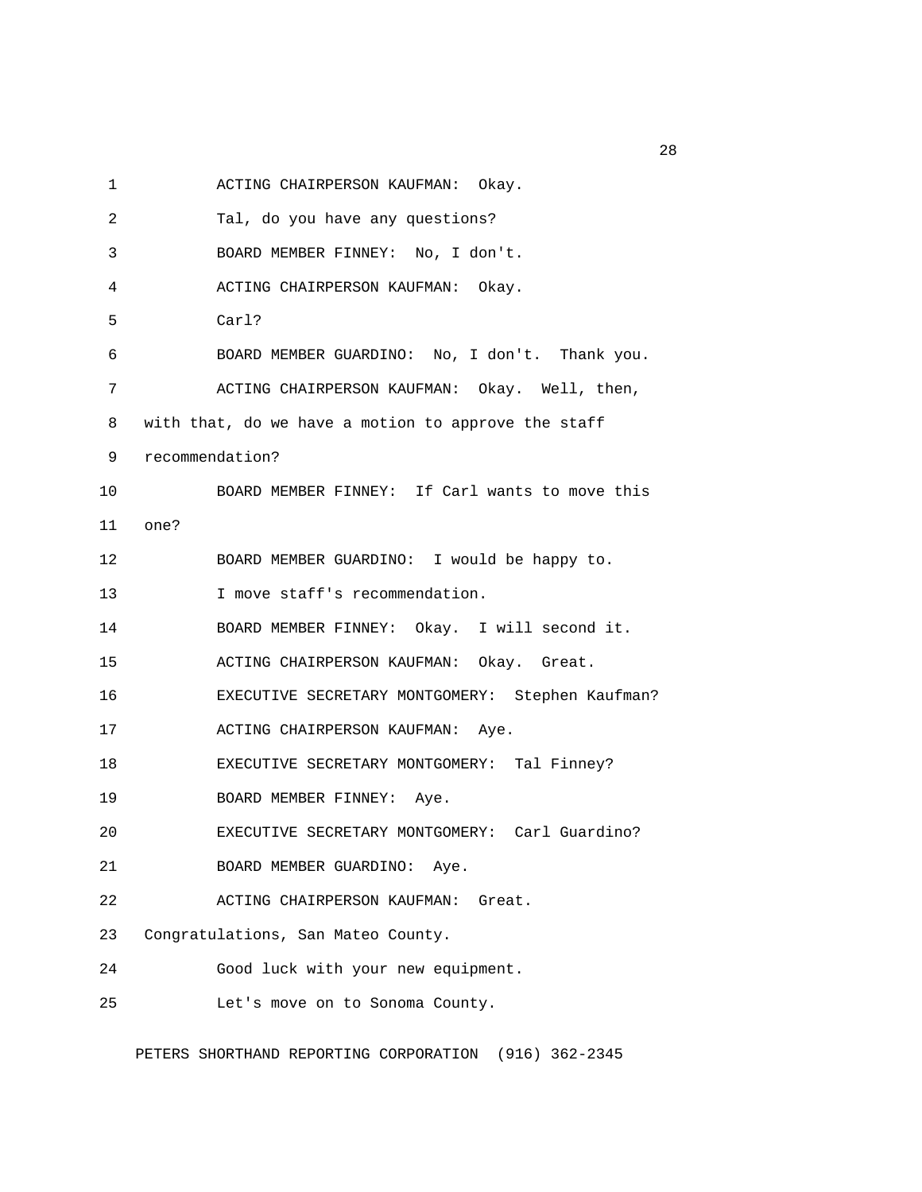1 ACTING CHAIRPERSON KAUFMAN: Okay.

| 2  | Tal, do you have any questions?                       |
|----|-------------------------------------------------------|
| 3  | BOARD MEMBER FINNEY: No, I don't.                     |
| 4  | ACTING CHAIRPERSON KAUFMAN: Okay.                     |
| 5  | Carl?                                                 |
| 6  | BOARD MEMBER GUARDINO: No, I don't. Thank you.        |
| 7  | ACTING CHAIRPERSON KAUFMAN: Okay. Well, then,         |
| 8  | with that, do we have a motion to approve the staff   |
| 9  | recommendation?                                       |
| 10 | BOARD MEMBER FINNEY: If Carl wants to move this       |
| 11 | one?                                                  |
| 12 | BOARD MEMBER GUARDINO: I would be happy to.           |
| 13 | I move staff's recommendation.                        |
| 14 | BOARD MEMBER FINNEY: Okay. I will second it.          |
| 15 | ACTING CHAIRPERSON KAUFMAN: Okay. Great.              |
| 16 | EXECUTIVE SECRETARY MONTGOMERY: Stephen Kaufman?      |
| 17 | ACTING CHAIRPERSON KAUFMAN: Aye.                      |
| 18 | EXECUTIVE SECRETARY MONTGOMERY: Tal Finney?           |
| 19 | BOARD MEMBER FINNEY: Aye.                             |
| 20 | EXECUTIVE SECRETARY MONTGOMERY: Carl Guardino?        |
| 21 | BOARD MEMBER GUARDINO:<br>Aye.                        |
| 22 | ACTING CHAIRPERSON KAUFMAN:<br>Great.                 |
| 23 | Congratulations, San Mateo County.                    |
| 24 | Good luck with your new equipment.                    |
| 25 | Let's move on to Sonoma County.                       |
|    | PETERS SHORTHAND REPORTING CORPORATION (916) 362-2345 |

<u>28</u> and 28 and 28 and 28 and 28 and 28 and 28 and 28 and 28 and 28 and 28 and 28 and 28 and 28 and 28 and 28 and 28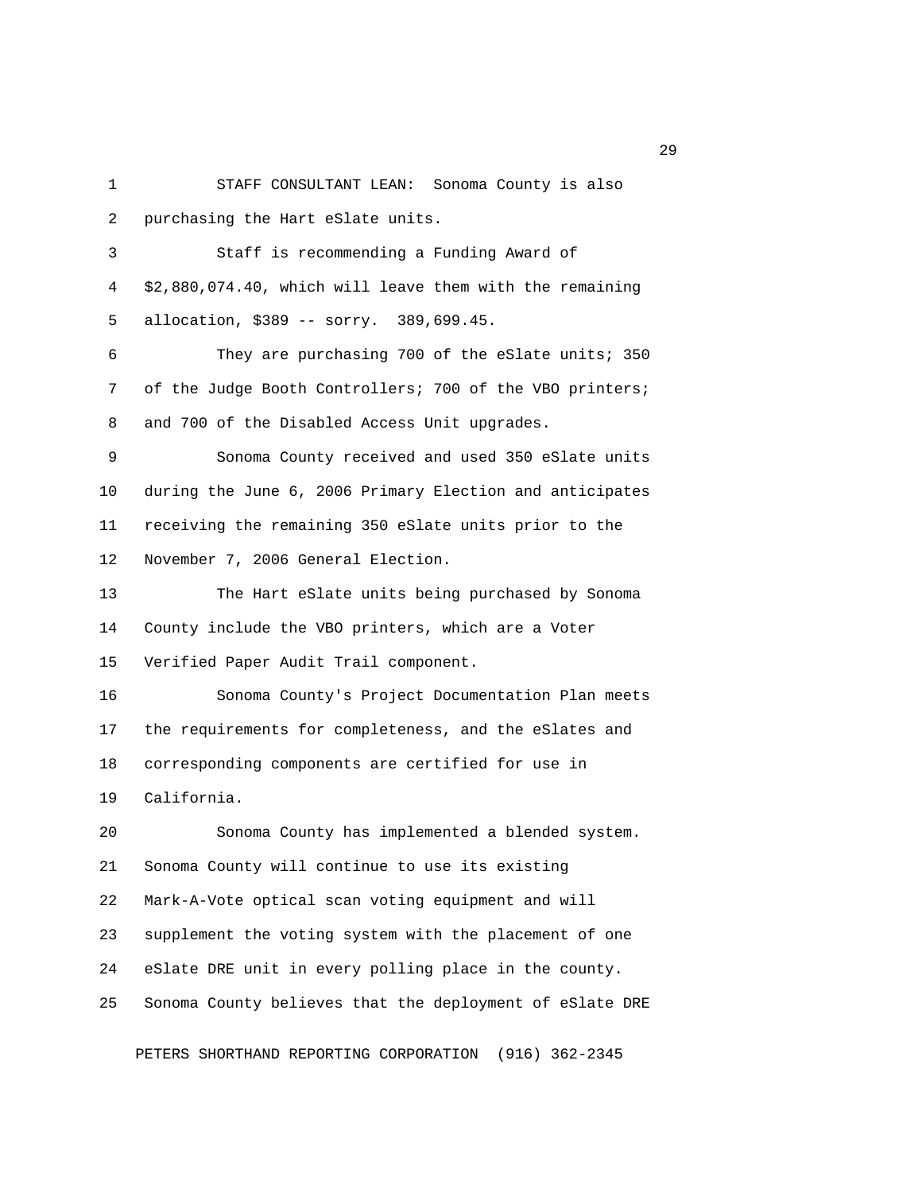1 STAFF CONSULTANT LEAN: Sonoma County is also 2 purchasing the Hart eSlate units.

 3 Staff is recommending a Funding Award of 4 \$2,880,074.40, which will leave them with the remaining 5 allocation, \$389 -- sorry. 389,699.45.

 6 They are purchasing 700 of the eSlate units; 350 7 of the Judge Booth Controllers; 700 of the VBO printers; 8 and 700 of the Disabled Access Unit upgrades.

 9 Sonoma County received and used 350 eSlate units 10 during the June 6, 2006 Primary Election and anticipates 11 receiving the remaining 350 eSlate units prior to the 12 November 7, 2006 General Election.

13 The Hart eSlate units being purchased by Sonoma 14 County include the VBO printers, which are a Voter 15 Verified Paper Audit Trail component.

16 Sonoma County's Project Documentation Plan meets 17 the requirements for completeness, and the eSlates and 18 corresponding components are certified for use in 19 California.

20 Sonoma County has implemented a blended system. 21 Sonoma County will continue to use its existing 22 Mark-A-Vote optical scan voting equipment and will 23 supplement the voting system with the placement of one 24 eSlate DRE unit in every polling place in the county. 25 Sonoma County believes that the deployment of eSlate DRE

PETERS SHORTHAND REPORTING CORPORATION (916) 362-2345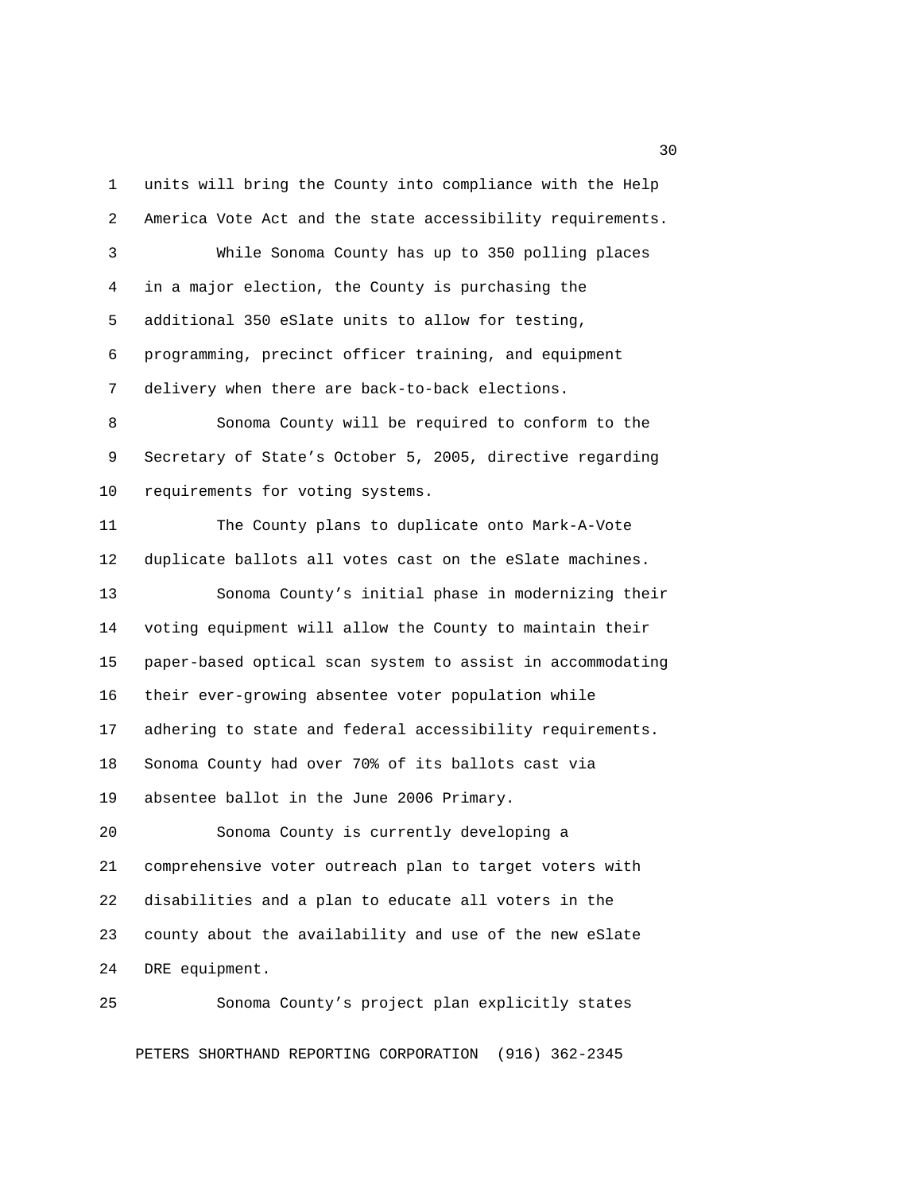1 units will bring the County into compliance with the Help 2 America Vote Act and the state accessibility requirements. 3 While Sonoma County has up to 350 polling places 4 in a major election, the County is purchasing the 5 additional 350 eSlate units to allow for testing, 6 programming, precinct officer training, and equipment 7 delivery when there are back-to-back elections. 8 Sonoma County will be required to conform to the 9 Secretary of State's October 5, 2005, directive regarding 10 requirements for voting systems. 11 The County plans to duplicate onto Mark-A-Vote 12 duplicate ballots all votes cast on the eSlate machines. 13 Sonoma County's initial phase in modernizing their 14 voting equipment will allow the County to maintain their 15 paper-based optical scan system to assist in accommodating 16 their ever-growing absentee voter population while 17 adhering to state and federal accessibility requirements. 18 Sonoma County had over 70% of its ballots cast via 19 absentee ballot in the June 2006 Primary. 20 Sonoma County is currently developing a 21 comprehensive voter outreach plan to target voters with 22 disabilities and a plan to educate all voters in the 23 county about the availability and use of the new eSlate

24 DRE equipment.

25 Sonoma County's project plan explicitly states

PETERS SHORTHAND REPORTING CORPORATION (916) 362-2345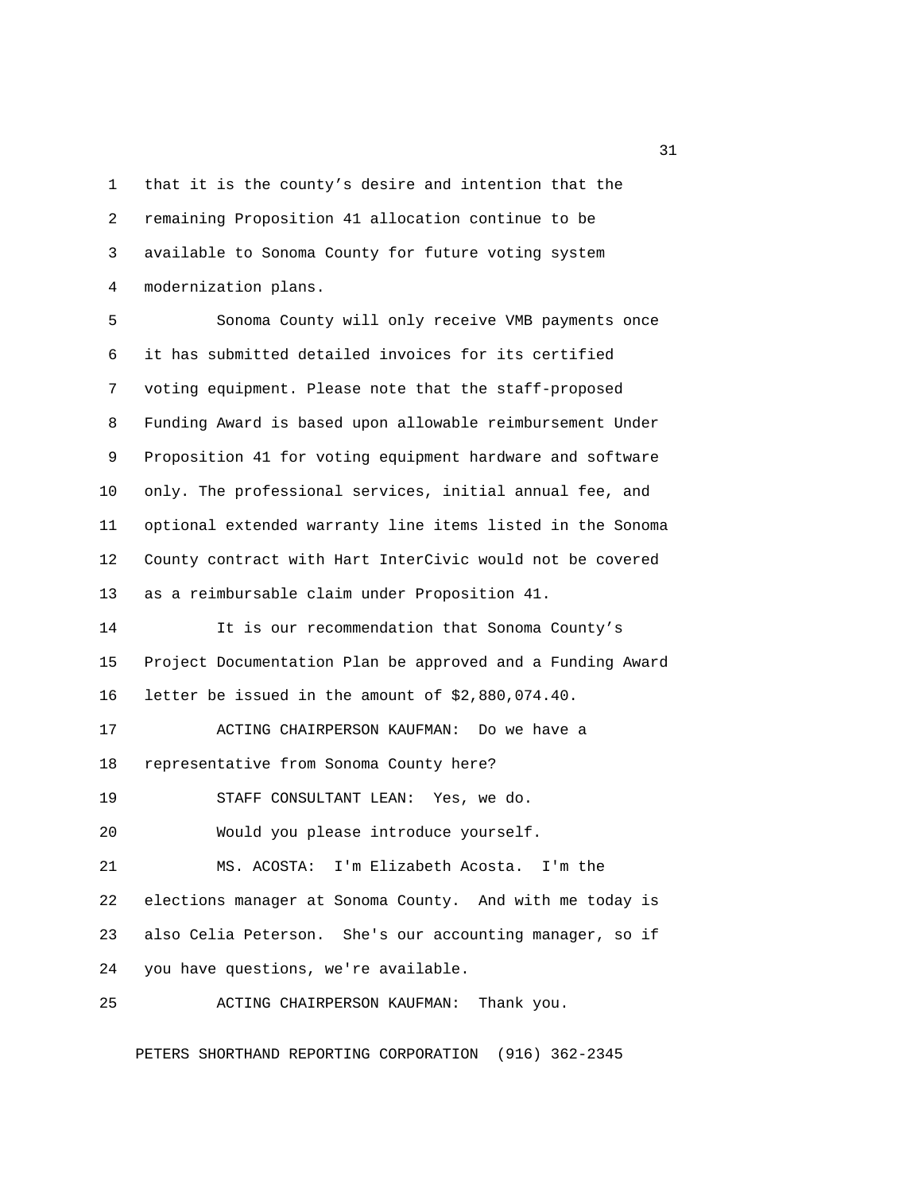1 that it is the county's desire and intention that the 2 remaining Proposition 41 allocation continue to be 3 available to Sonoma County for future voting system 4 modernization plans.

 5 Sonoma County will only receive VMB payments once 6 it has submitted detailed invoices for its certified 7 voting equipment. Please note that the staff-proposed 8 Funding Award is based upon allowable reimbursement Under 9 Proposition 41 for voting equipment hardware and software 10 only. The professional services, initial annual fee, and 11 optional extended warranty line items listed in the Sonoma 12 County contract with Hart InterCivic would not be covered 13 as a reimbursable claim under Proposition 41.

14 It is our recommendation that Sonoma County's 15 Project Documentation Plan be approved and a Funding Award 16 letter be issued in the amount of \$2,880,074.40.

17 ACTING CHAIRPERSON KAUFMAN: Do we have a 18 representative from Sonoma County here?

19 STAFF CONSULTANT LEAN: Yes, we do.

20 Would you please introduce yourself.

21 MS. ACOSTA: I'm Elizabeth Acosta. I'm the

22 elections manager at Sonoma County. And with me today is 23 also Celia Peterson. She's our accounting manager, so if 24 you have questions, we're available.

25 ACTING CHAIRPERSON KAUFMAN: Thank you.

PETERS SHORTHAND REPORTING CORPORATION (916) 362-2345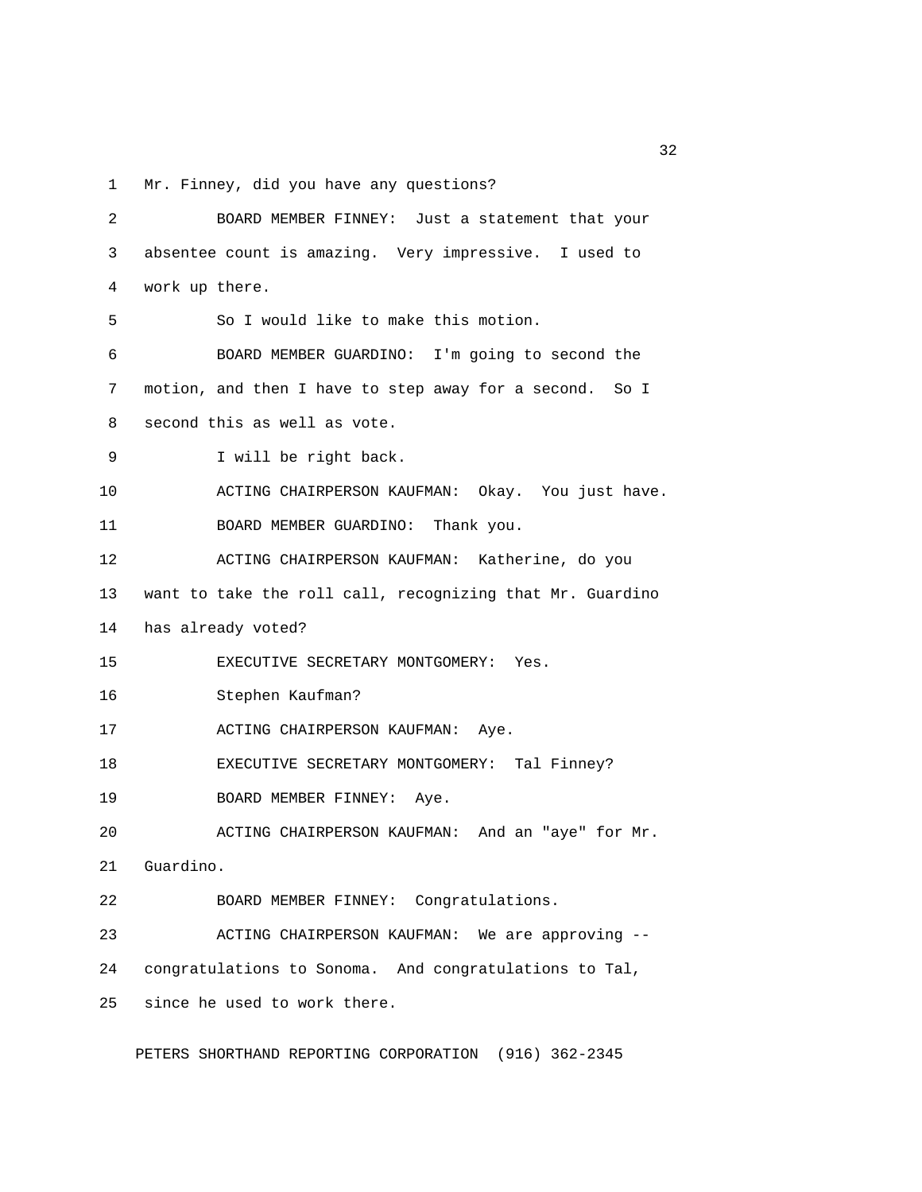1 Mr. Finney, did you have any questions?

| 2  | BOARD MEMBER FINNEY: Just a statement that your              |
|----|--------------------------------------------------------------|
| 3  | absentee count is amazing. Very impressive. I used to        |
| 4  | work up there.                                               |
| 5  | So I would like to make this motion.                         |
| 6  | BOARD MEMBER GUARDINO: I'm going to second the               |
| 7  | motion, and then I have to step away for a second. So I      |
| 8  | second this as well as vote.                                 |
| 9  | I will be right back.                                        |
| 10 | ACTING CHAIRPERSON KAUFMAN: Okay. You just have.             |
| 11 | BOARD MEMBER GUARDINO: Thank you.                            |
| 12 | ACTING CHAIRPERSON KAUFMAN: Katherine, do you                |
|    | 13 want to take the roll call, recognizing that Mr. Guardino |
| 14 | has already voted?                                           |
| 15 | EXECUTIVE SECRETARY MONTGOMERY: Yes.                         |
| 16 | Stephen Kaufman?                                             |
| 17 | ACTING CHAIRPERSON KAUFMAN: Aye.                             |
| 18 | EXECUTIVE SECRETARY MONTGOMERY: Tal Finney?                  |
| 19 | BOARD MEMBER FINNEY: Aye.                                    |
| 20 | ACTING CHAIRPERSON KAUFMAN: And an "aye" for Mr.             |
| 21 | Guardino.                                                    |
| 22 | BOARD MEMBER FINNEY: Congratulations.                        |
| 23 | ACTING CHAIRPERSON KAUFMAN: We are approving --              |
| 24 | congratulations to Sonoma. And congratulations to Tal,       |
| 25 | since he used to work there.                                 |

PETERS SHORTHAND REPORTING CORPORATION (916) 362-2345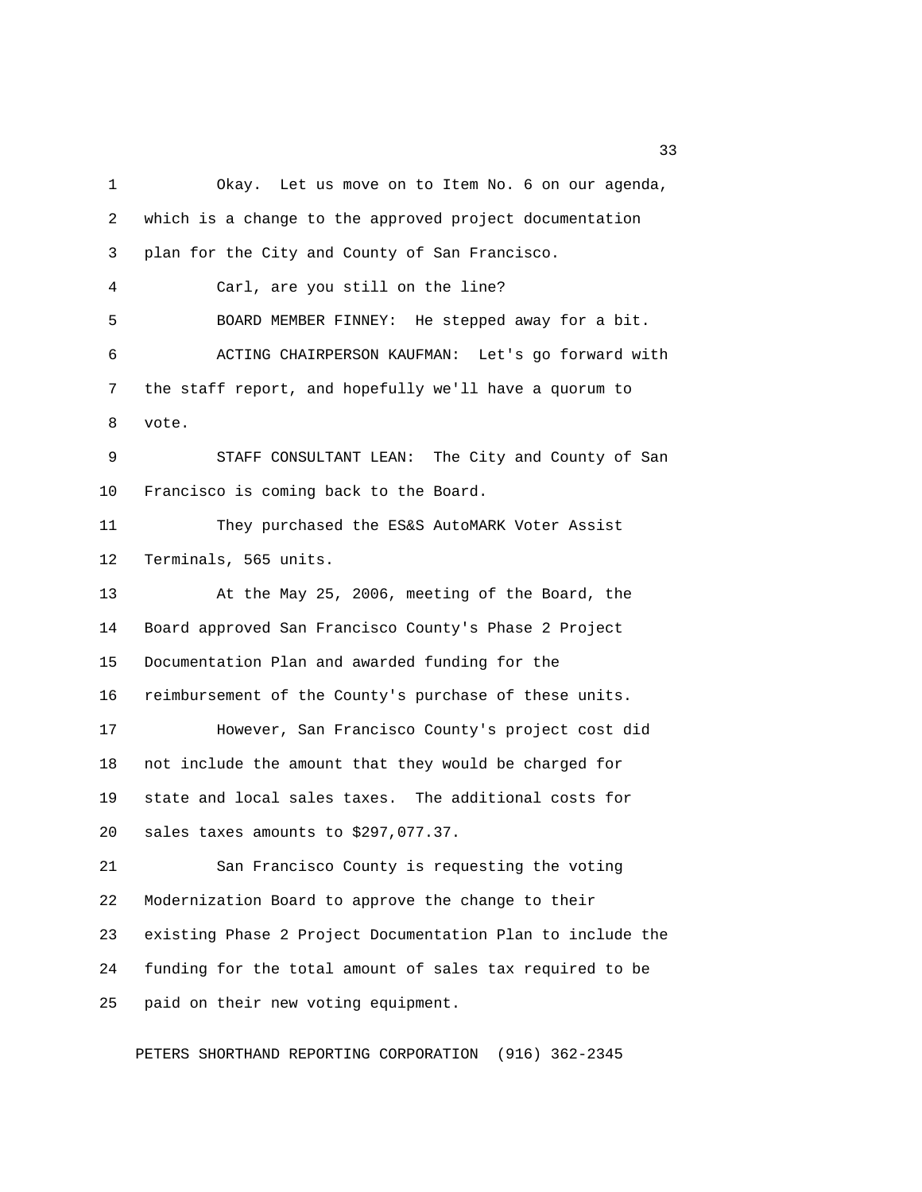1 Okay. Let us move on to Item No. 6 on our agenda, 2 which is a change to the approved project documentation 3 plan for the City and County of San Francisco. 4 Carl, are you still on the line? 5 BOARD MEMBER FINNEY: He stepped away for a bit. 6 ACTING CHAIRPERSON KAUFMAN: Let's go forward with 7 the staff report, and hopefully we'll have a quorum to 8 vote. 9 STAFF CONSULTANT LEAN: The City and County of San 10 Francisco is coming back to the Board. 11 They purchased the ES&S AutoMARK Voter Assist 12 Terminals, 565 units. 13 At the May 25, 2006, meeting of the Board, the 14 Board approved San Francisco County's Phase 2 Project 15 Documentation Plan and awarded funding for the 16 reimbursement of the County's purchase of these units. 17 However, San Francisco County's project cost did 18 not include the amount that they would be charged for 19 state and local sales taxes. The additional costs for 20 sales taxes amounts to \$297,077.37. 21 San Francisco County is requesting the voting 22 Modernization Board to approve the change to their 23 existing Phase 2 Project Documentation Plan to include the 24 funding for the total amount of sales tax required to be 25 paid on their new voting equipment.

PETERS SHORTHAND REPORTING CORPORATION (916) 362-2345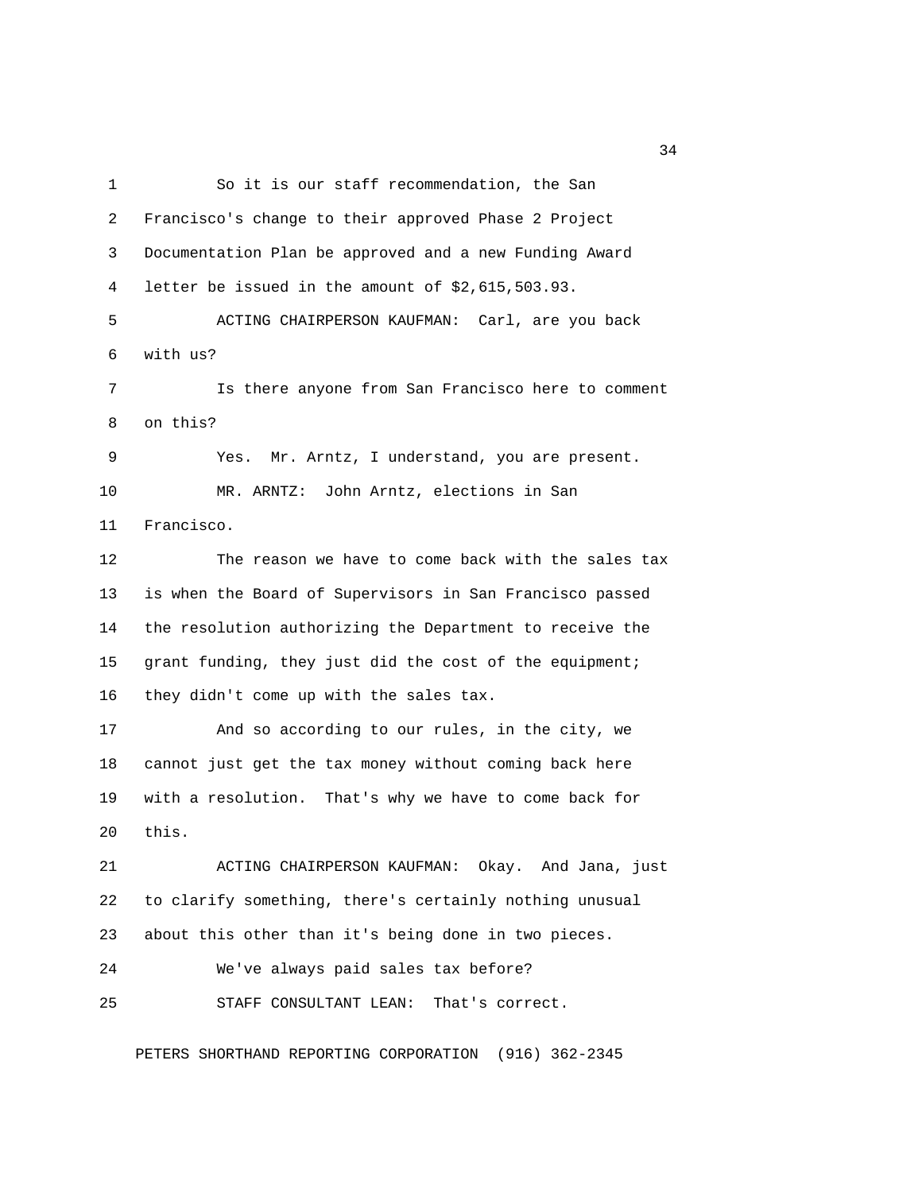1 So it is our staff recommendation, the San 2 Francisco's change to their approved Phase 2 Project 3 Documentation Plan be approved and a new Funding Award 4 letter be issued in the amount of \$2,615,503.93. 5 ACTING CHAIRPERSON KAUFMAN: Carl, are you back 6 with us? 7 Is there anyone from San Francisco here to comment 8 on this? 9 Yes. Mr. Arntz, I understand, you are present. 10 MR. ARNTZ: John Arntz, elections in San 11 Francisco. 12 The reason we have to come back with the sales tax 13 is when the Board of Supervisors in San Francisco passed 14 the resolution authorizing the Department to receive the 15 grant funding, they just did the cost of the equipment; 16 they didn't come up with the sales tax. 17 And so according to our rules, in the city, we 18 cannot just get the tax money without coming back here 19 with a resolution. That's why we have to come back for 20 this. 21 ACTING CHAIRPERSON KAUFMAN: Okay. And Jana, just 22 to clarify something, there's certainly nothing unusual 23 about this other than it's being done in two pieces. 24 We've always paid sales tax before? 25 STAFF CONSULTANT LEAN: That's correct.

PETERS SHORTHAND REPORTING CORPORATION (916) 362-2345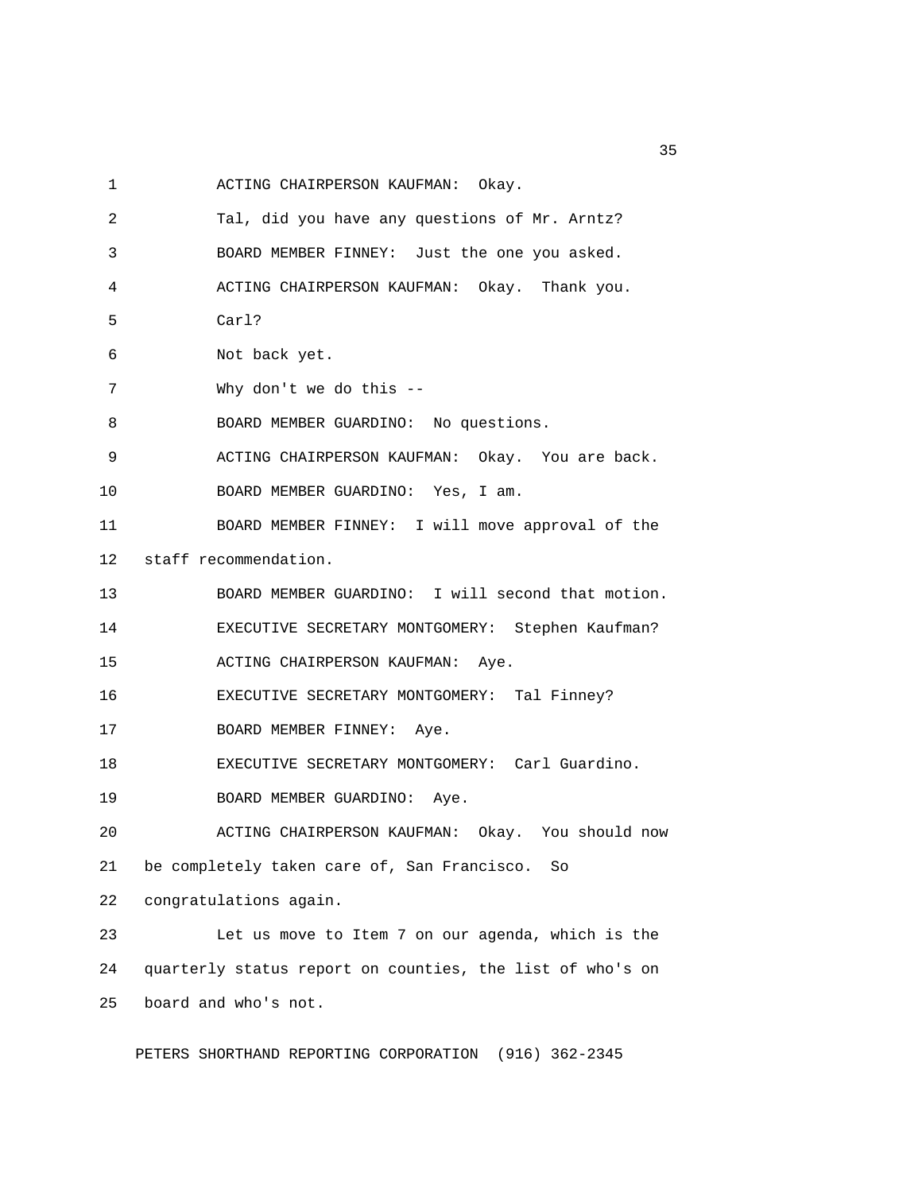1 ACTING CHAIRPERSON KAUFMAN: Okay.

 2 Tal, did you have any questions of Mr. Arntz? 3 BOARD MEMBER FINNEY: Just the one you asked. 4 ACTING CHAIRPERSON KAUFMAN: Okay. Thank you. 5 Carl? 6 Not back yet. 7 Why don't we do this -- 8 BOARD MEMBER GUARDINO: No questions. 9 ACTING CHAIRPERSON KAUFMAN: Okay. You are back. 10 BOARD MEMBER GUARDINO: Yes, I am. 11 BOARD MEMBER FINNEY: I will move approval of the 12 staff recommendation. 13 BOARD MEMBER GUARDINO: I will second that motion. 14 EXECUTIVE SECRETARY MONTGOMERY: Stephen Kaufman? 15 ACTING CHAIRPERSON KAUFMAN: Aye. 16 EXECUTIVE SECRETARY MONTGOMERY: Tal Finney? 17 BOARD MEMBER FINNEY: Aye. 18 EXECUTIVE SECRETARY MONTGOMERY: Carl Guardino. 19 BOARD MEMBER GUARDINO: Aye. 20 ACTING CHAIRPERSON KAUFMAN: Okay. You should now 21 be completely taken care of, San Francisco. So 22 congratulations again. 23 Let us move to Item 7 on our agenda, which is the 24 quarterly status report on counties, the list of who's on 25 board and who's not.

PETERS SHORTHAND REPORTING CORPORATION (916) 362-2345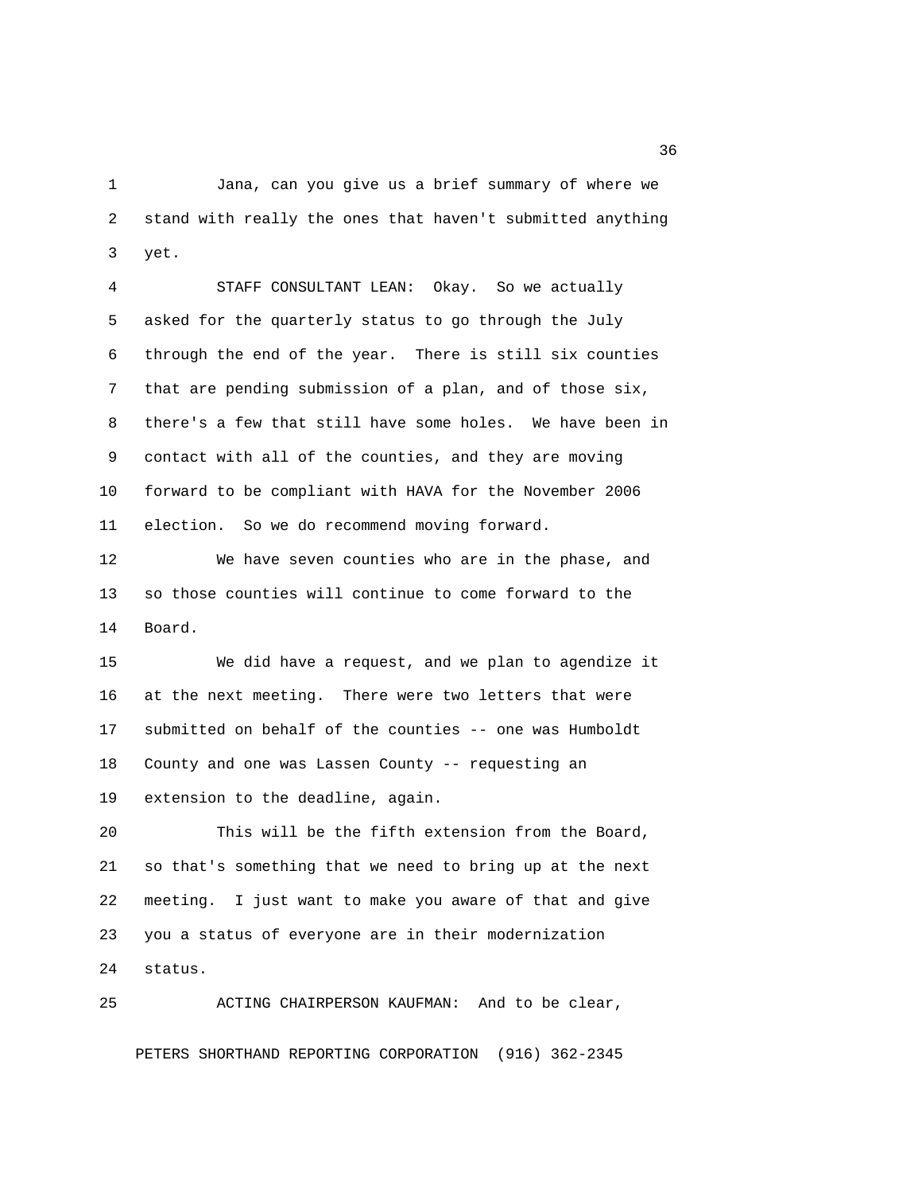1 Jana, can you give us a brief summary of where we 2 stand with really the ones that haven't submitted anything 3 yet.

 4 STAFF CONSULTANT LEAN: Okay. So we actually 5 asked for the quarterly status to go through the July 6 through the end of the year. There is still six counties 7 that are pending submission of a plan, and of those six, 8 there's a few that still have some holes. We have been in 9 contact with all of the counties, and they are moving 10 forward to be compliant with HAVA for the November 2006 11 election. So we do recommend moving forward.

12 We have seven counties who are in the phase, and 13 so those counties will continue to come forward to the 14 Board.

15 We did have a request, and we plan to agendize it 16 at the next meeting. There were two letters that were 17 submitted on behalf of the counties -- one was Humboldt 18 County and one was Lassen County -- requesting an 19 extension to the deadline, again.

20 This will be the fifth extension from the Board, 21 so that's something that we need to bring up at the next 22 meeting. I just want to make you aware of that and give 23 you a status of everyone are in their modernization 24 status.

25 ACTING CHAIRPERSON KAUFMAN: And to be clear,

PETERS SHORTHAND REPORTING CORPORATION (916) 362-2345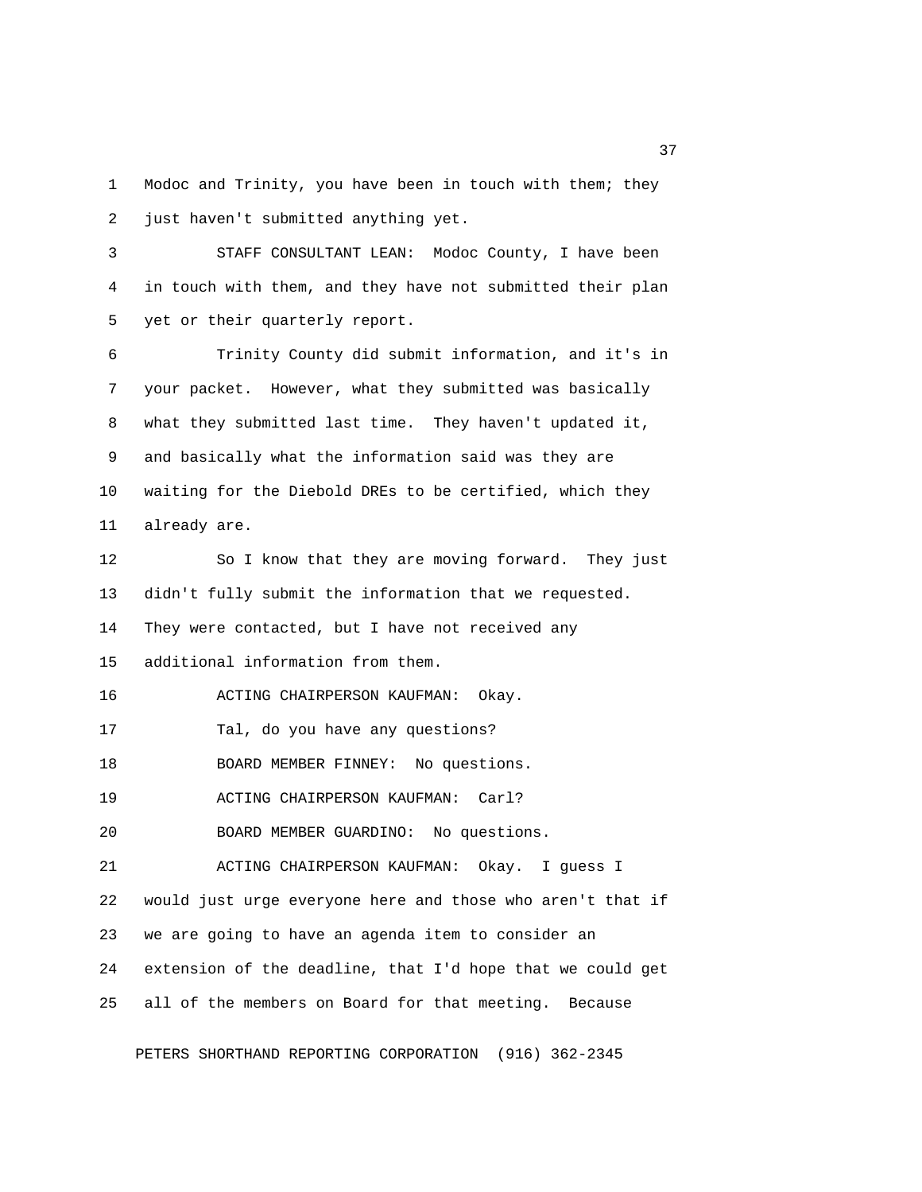1 Modoc and Trinity, you have been in touch with them; they 2 just haven't submitted anything yet.

 3 STAFF CONSULTANT LEAN: Modoc County, I have been 4 in touch with them, and they have not submitted their plan 5 yet or their quarterly report.

 6 Trinity County did submit information, and it's in 7 your packet. However, what they submitted was basically 8 what they submitted last time. They haven't updated it, 9 and basically what the information said was they are 10 waiting for the Diebold DREs to be certified, which they 11 already are.

12 So I know that they are moving forward. They just 13 didn't fully submit the information that we requested. 14 They were contacted, but I have not received any 15 additional information from them. 16 ACTING CHAIRPERSON KAUFMAN: Okay. 17 Tal, do you have any questions? 18 BOARD MEMBER FINNEY: No questions. 19 ACTING CHAIRPERSON KAUFMAN: Carl? 20 BOARD MEMBER GUARDINO: No questions. 21 ACTING CHAIRPERSON KAUFMAN: Okay. I guess I 22 would just urge everyone here and those who aren't that if 23 we are going to have an agenda item to consider an 24 extension of the deadline, that I'd hope that we could get 25 all of the members on Board for that meeting. Because

PETERS SHORTHAND REPORTING CORPORATION (916) 362-2345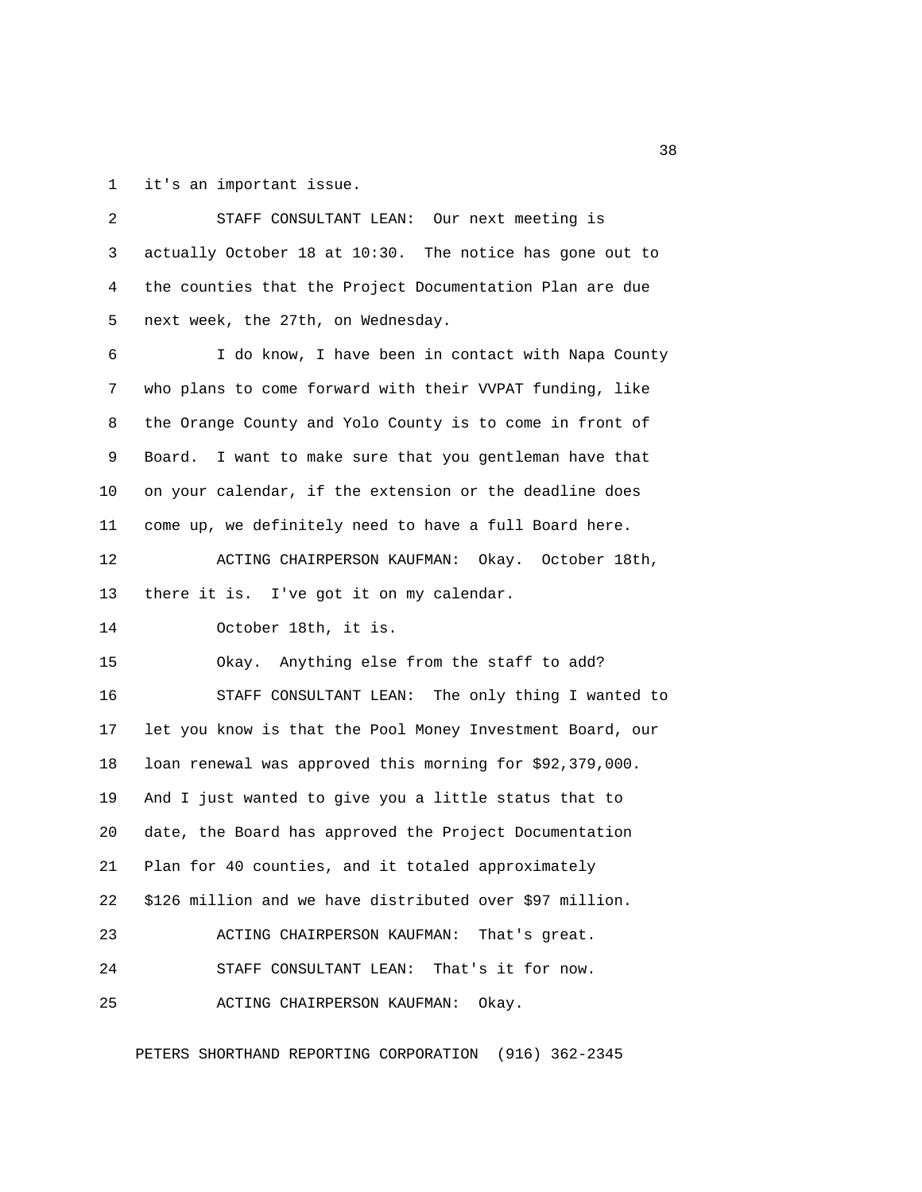1 it's an important issue.

 2 STAFF CONSULTANT LEAN: Our next meeting is 3 actually October 18 at 10:30. The notice has gone out to 4 the counties that the Project Documentation Plan are due 5 next week, the 27th, on Wednesday. 6 I do know, I have been in contact with Napa County 7 who plans to come forward with their VVPAT funding, like 8 the Orange County and Yolo County is to come in front of 9 Board. I want to make sure that you gentleman have that 10 on your calendar, if the extension or the deadline does 11 come up, we definitely need to have a full Board here. 12 ACTING CHAIRPERSON KAUFMAN: Okay. October 18th, 13 there it is. I've got it on my calendar. 14 October 18th, it is. 15 Okay. Anything else from the staff to add? 16 STAFF CONSULTANT LEAN: The only thing I wanted to 17 let you know is that the Pool Money Investment Board, our 18 loan renewal was approved this morning for \$92,379,000. 19 And I just wanted to give you a little status that to 20 date, the Board has approved the Project Documentation 21 Plan for 40 counties, and it totaled approximately 22 \$126 million and we have distributed over \$97 million. 23 ACTING CHAIRPERSON KAUFMAN: That's great. 24 STAFF CONSULTANT LEAN: That's it for now. 25 ACTING CHAIRPERSON KAUFMAN: Okay.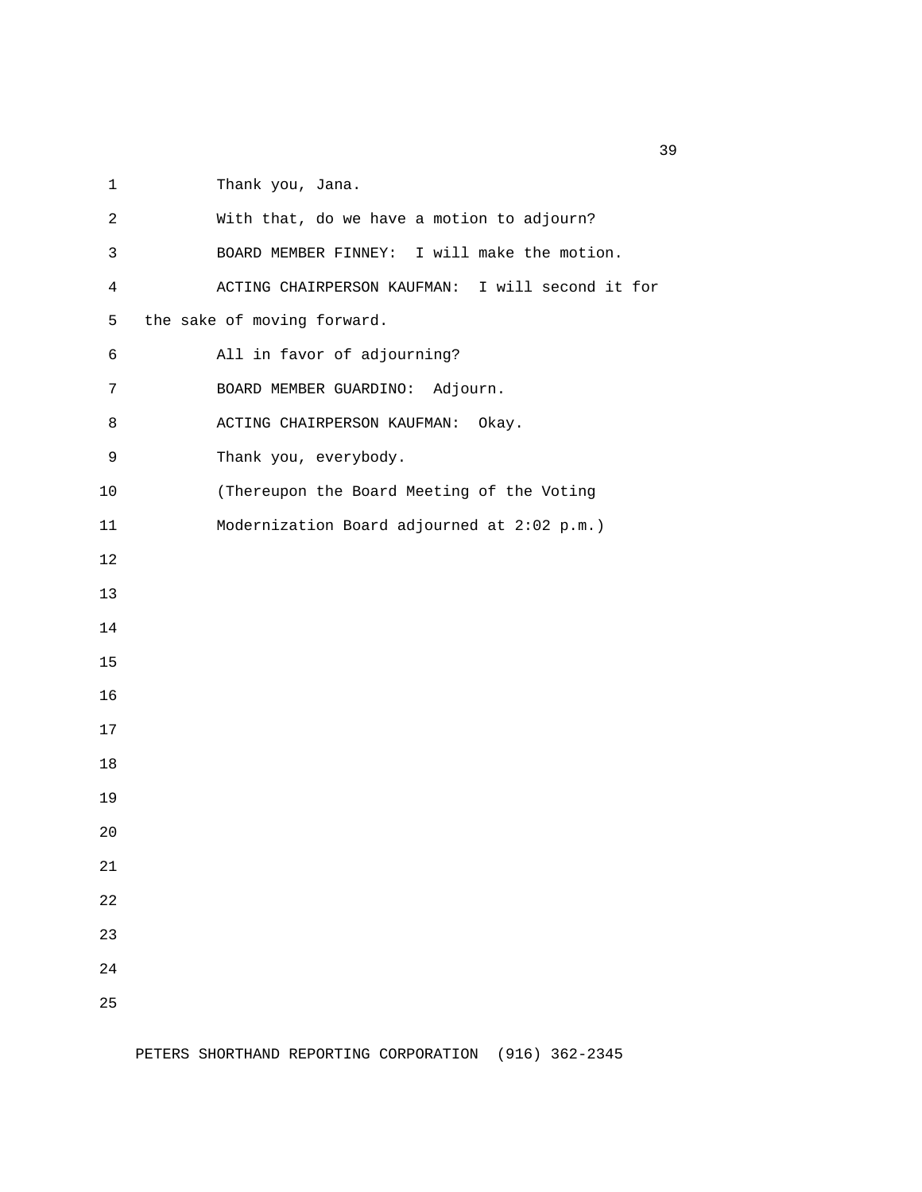1 Thank you, Jana.

 2 With that, do we have a motion to adjourn? 3 BOARD MEMBER FINNEY: I will make the motion. 4 ACTING CHAIRPERSON KAUFMAN: I will second it for 5 the sake of moving forward. 6 All in favor of adjourning? 7 BOARD MEMBER GUARDINO: Adjourn. 8 ACTING CHAIRPERSON KAUFMAN: Okay. 9 Thank you, everybody. 10 (Thereupon the Board Meeting of the Voting 11 Modernization Board adjourned at 2:02 p.m.) 12 13 14 15 16 17 18 19 20 21 22 23 24 25